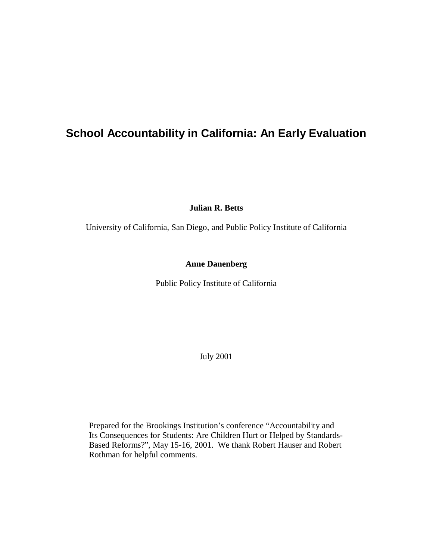## **School Accountability in California: An Early Evaluation**

**Julian R. Betts**

University of California, San Diego, and Public Policy Institute of California

## **Anne Danenberg**

Public Policy Institute of California

July 2001

Prepared for the Brookings Institution's conference "Accountability and Its Consequences for Students: Are Children Hurt or Helped by Standards-Based Reforms?", May 15-16, 2001. We thank Robert Hauser and Robert Rothman for helpful comments.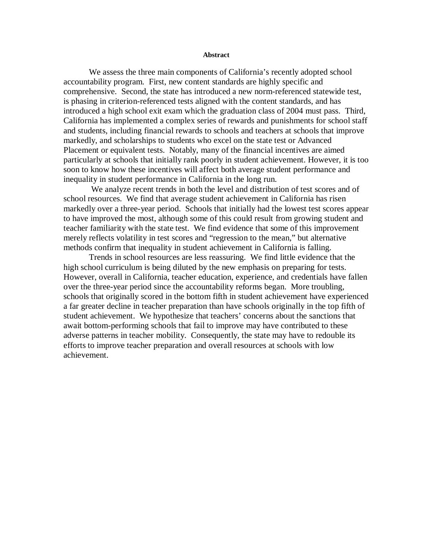#### **Abstract**

We assess the three main components of California's recently adopted school accountability program. First, new content standards are highly specific and comprehensive. Second, the state has introduced a new norm-referenced statewide test, is phasing in criterion-referenced tests aligned with the content standards, and has introduced a high school exit exam which the graduation class of 2004 must pass. Third, California has implemented a complex series of rewards and punishments for school staff and students, including financial rewards to schools and teachers at schools that improve markedly, and scholarships to students who excel on the state test or Advanced Placement or equivalent tests. Notably, many of the financial incentives are aimed particularly at schools that initially rank poorly in student achievement. However, it is too soon to know how these incentives will affect both average student performance and inequality in student performance in California in the long run.

We analyze recent trends in both the level and distribution of test scores and of school resources. We find that average student achievement in California has risen markedly over a three-year period. Schools that initially had the lowest test scores appear to have improved the most, although some of this could result from growing student and teacher familiarity with the state test. We find evidence that some of this improvement merely reflects volatility in test scores and "regression to the mean," but alternative methods confirm that inequality in student achievement in California is falling.

Trends in school resources are less reassuring. We find little evidence that the high school curriculum is being diluted by the new emphasis on preparing for tests. However, overall in California, teacher education, experience, and credentials have fallen over the three-year period since the accountability reforms began. More troubling, schools that originally scored in the bottom fifth in student achievement have experienced a far greater decline in teacher preparation than have schools originally in the top fifth of student achievement. We hypothesize that teachers' concerns about the sanctions that await bottom-performing schools that fail to improve may have contributed to these adverse patterns in teacher mobility. Consequently, the state may have to redouble its efforts to improve teacher preparation and overall resources at schools with low achievement.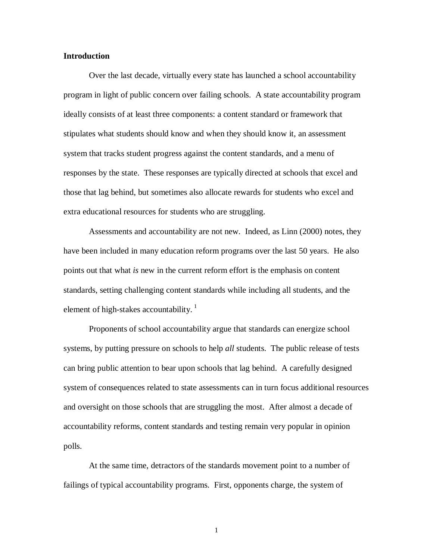### **Introduction**

Over the last decade, virtually every state has launched a school accountability program in light of public concern over failing schools. A state accountability program ideally consists of at least three components: a content standard or framework that stipulates what students should know and when they should know it, an assessment system that tracks student progress against the content standards, and a menu of responses by the state. These responses are typically directed at schools that excel and those that lag behind, but sometimes also allocate rewards for students who excel and extra educational resources for students who are struggling.

Assessments and accountability are not new. Indeed, as Linn (2000) notes, they have been included in many education reform programs over the last 50 years. He also points out that what *is* new in the current reform effort is the emphasis on content standards, setting challenging content standards while including all students, and the element of high-stakes accountability.<sup>1</sup>

Proponents of school accountability argue that standards can energize school systems, by putting pressure on schools to help *all* students. The public release of tests can bring public attention to bear upon schools that lag behind. A carefully designed system of consequences related to state assessments can in turn focus additional resources and oversight on those schools that are struggling the most. After almost a decade of accountability reforms, content standards and testing remain very popular in opinion polls.

At the same time, detractors of the standards movement point to a number of failings of typical accountability programs. First, opponents charge, the system of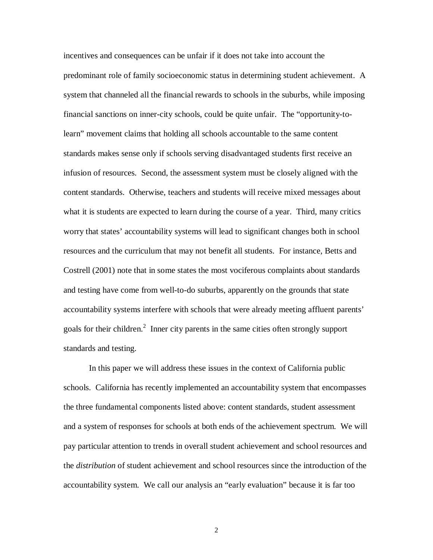incentives and consequences can be unfair if it does not take into account the predominant role of family socioeconomic status in determining student achievement. A system that channeled all the financial rewards to schools in the suburbs, while imposing financial sanctions on inner-city schools, could be quite unfair. The "opportunity-tolearn" movement claims that holding all schools accountable to the same content standards makes sense only if schools serving disadvantaged students first receive an infusion of resources. Second, the assessment system must be closely aligned with the content standards. Otherwise, teachers and students will receive mixed messages about what it is students are expected to learn during the course of a year. Third, many critics worry that states' accountability systems will lead to significant changes both in school resources and the curriculum that may not benefit all students. For instance, Betts and Costrell (2001) note that in some states the most vociferous complaints about standards and testing have come from well-to-do suburbs, apparently on the grounds that state accountability systems interfere with schools that were already meeting affluent parents' goals for their children.<sup>2</sup> Inner city parents in the same cities often strongly support standards and testing.

In this paper we will address these issues in the context of California public schools. California has recently implemented an accountability system that encompasses the three fundamental components listed above: content standards, student assessment and a system of responses for schools at both ends of the achievement spectrum. We will pay particular attention to trends in overall student achievement and school resources and the *distribution* of student achievement and school resources since the introduction of the accountability system. We call our analysis an "early evaluation" because it is far too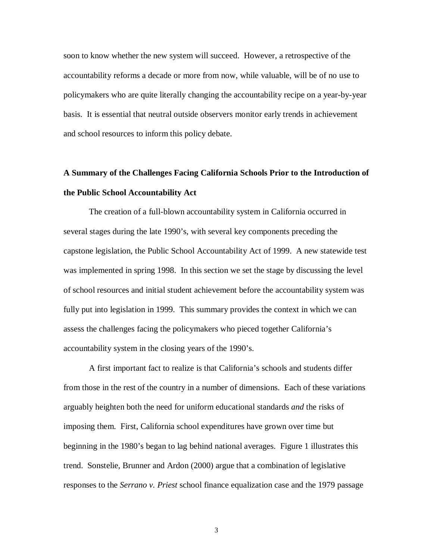soon to know whether the new system will succeed. However, a retrospective of the accountability reforms a decade or more from now, while valuable, will be of no use to policymakers who are quite literally changing the accountability recipe on a year-by-year basis. It is essential that neutral outside observers monitor early trends in achievement and school resources to inform this policy debate.

## **A Summary of the Challenges Facing California Schools Prior to the Introduction of the Public School Accountability Act**

The creation of a full-blown accountability system in California occurred in several stages during the late 1990's, with several key components preceding the capstone legislation, the Public School Accountability Act of 1999. A new statewide test was implemented in spring 1998. In this section we set the stage by discussing the level of school resources and initial student achievement before the accountability system was fully put into legislation in 1999. This summary provides the context in which we can assess the challenges facing the policymakers who pieced together California's accountability system in the closing years of the 1990's.

A first important fact to realize is that California's schools and students differ from those in the rest of the country in a number of dimensions. Each of these variations arguably heighten both the need for uniform educational standards *and* the risks of imposing them. First, California school expenditures have grown over time but beginning in the 1980's began to lag behind national averages. Figure 1 illustrates this trend. Sonstelie, Brunner and Ardon (2000) argue that a combination of legislative responses to the *Serrano v. Priest* school finance equalization case and the 1979 passage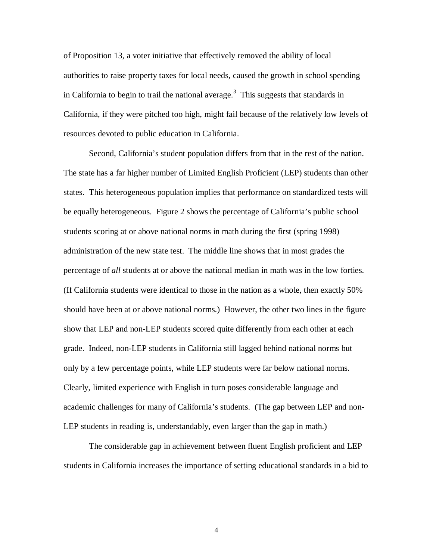of Proposition 13, a voter initiative that effectively removed the ability of local authorities to raise property taxes for local needs, caused the growth in school spending in California to begin to trail the national average.<sup>3</sup> This suggests that standards in California, if they were pitched too high, might fail because of the relatively low levels of resources devoted to public education in California.

Second, California's student population differs from that in the rest of the nation. The state has a far higher number of Limited English Proficient (LEP) students than other states. This heterogeneous population implies that performance on standardized tests will be equally heterogeneous. Figure 2 shows the percentage of California's public school students scoring at or above national norms in math during the first (spring 1998) administration of the new state test. The middle line shows that in most grades the percentage of *all* students at or above the national median in math was in the low forties. (If California students were identical to those in the nation as a whole, then exactly 50% should have been at or above national norms.) However, the other two lines in the figure show that LEP and non-LEP students scored quite differently from each other at each grade. Indeed, non-LEP students in California still lagged behind national norms but only by a few percentage points, while LEP students were far below national norms. Clearly, limited experience with English in turn poses considerable language and academic challenges for many of California's students. (The gap between LEP and non-LEP students in reading is, understandably, even larger than the gap in math.)

The considerable gap in achievement between fluent English proficient and LEP students in California increases the importance of setting educational standards in a bid to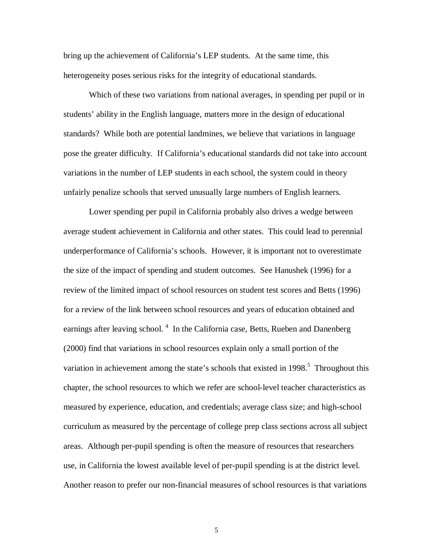bring up the achievement of California's LEP students. At the same time, this heterogeneity poses serious risks for the integrity of educational standards.

Which of these two variations from national averages, in spending per pupil or in students' ability in the English language, matters more in the design of educational standards? While both are potential landmines, we believe that variations in language pose the greater difficulty. If California's educational standards did not take into account variations in the number of LEP students in each school, the system could in theory unfairly penalize schools that served unusually large numbers of English learners.

Lower spending per pupil in California probably also drives a wedge between average student achievement in California and other states. This could lead to perennial underperformance of California's schools. However, it is important not to overestimate the size of the impact of spending and student outcomes. See Hanushek (1996) for a review of the limited impact of school resources on student test scores and Betts (1996) for a review of the link between school resources and years of education obtained and earnings after leaving school.<sup>4</sup> In the California case, Betts, Rueben and Danenberg (2000) find that variations in school resources explain only a small portion of the variation in achievement among the state's schools that existed in  $1998$ <sup>5</sup>. Throughout this chapter, the school resources to which we refer are school-level teacher characteristics as measured by experience, education, and credentials; average class size; and high-school curriculum as measured by the percentage of college prep class sections across all subject areas. Although per-pupil spending is often the measure of resources that researchers use, in California the lowest available level of per-pupil spending is at the district level. Another reason to prefer our non-financial measures of school resources is that variations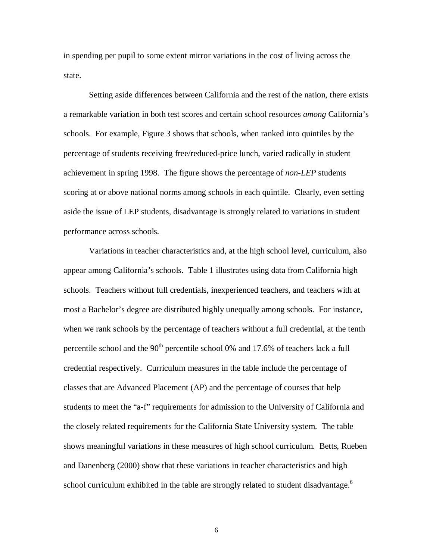in spending per pupil to some extent mirror variations in the cost of living across the state.

Setting aside differences between California and the rest of the nation, there exists a remarkable variation in both test scores and certain school resources *among* California's schools. For example, Figure 3 shows that schools, when ranked into quintiles by the percentage of students receiving free/reduced-price lunch, varied radically in student achievement in spring 1998. The figure shows the percentage of *non-LEP* students scoring at or above national norms among schools in each quintile. Clearly, even setting aside the issue of LEP students, disadvantage is strongly related to variations in student performance across schools.

Variations in teacher characteristics and, at the high school level, curriculum, also appear among California's schools. Table 1 illustrates using data from California high schools. Teachers without full credentials, inexperienced teachers, and teachers with at most a Bachelor's degree are distributed highly unequally among schools. For instance, when we rank schools by the percentage of teachers without a full credential, at the tenth percentile school and the  $90<sup>th</sup>$  percentile school 0% and 17.6% of teachers lack a full credential respectively. Curriculum measures in the table include the percentage of classes that are Advanced Placement (AP) and the percentage of courses that help students to meet the "a-f" requirements for admission to the University of California and the closely related requirements for the California State University system. The table shows meaningful variations in these measures of high school curriculum. Betts, Rueben and Danenberg (2000) show that these variations in teacher characteristics and high school curriculum exhibited in the table are strongly related to student disadvantage. $6\overline{ }$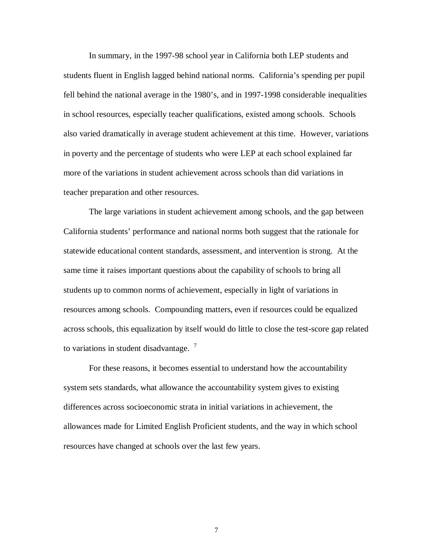In summary, in the 1997-98 school year in California both LEP students and students fluent in English lagged behind national norms. California's spending per pupil fell behind the national average in the 1980's, and in 1997-1998 considerable inequalities in school resources, especially teacher qualifications, existed among schools. Schools also varied dramatically in average student achievement at this time. However, variations in poverty and the percentage of students who were LEP at each school explained far more of the variations in student achievement across schools than did variations in teacher preparation and other resources.

The large variations in student achievement among schools, and the gap between California students' performance and national norms both suggest that the rationale for statewide educational content standards, assessment, and intervention is strong. At the same time it raises important questions about the capability of schools to bring all students up to common norms of achievement, especially in light of variations in resources among schools. Compounding matters, even if resources could be equalized across schools, this equalization by itself would do little to close the test-score gap related to variations in student disadvantage.  $7$ 

For these reasons, it becomes essential to understand how the accountability system sets standards, what allowance the accountability system gives to existing differences across socioeconomic strata in initial variations in achievement, the allowances made for Limited English Proficient students, and the way in which school resources have changed at schools over the last few years.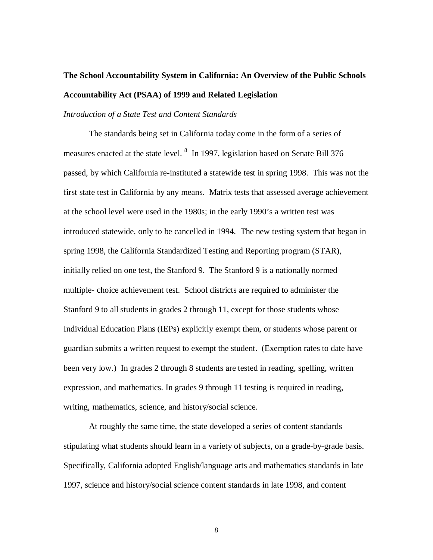# **The School Accountability System in California: An Overview of the Public Schools Accountability Act (PSAA) of 1999 and Related Legislation**

### *Introduction of a State Test and Content Standards*

The standards being set in California today come in the form of a series of measures enacted at the state level. <sup>8</sup> In 1997, legislation based on Senate Bill 376 passed, by which California re-instituted a statewide test in spring 1998. This was not the first state test in California by any means. Matrix tests that assessed average achievement at the school level were used in the 1980s; in the early 1990's a written test was introduced statewide, only to be cancelled in 1994. The new testing system that began in spring 1998, the California Standardized Testing and Reporting program (STAR), initially relied on one test, the Stanford 9. The Stanford 9 is a nationally normed multiple- choice achievement test. School districts are required to administer the Stanford 9 to all students in grades 2 through 11, except for those students whose Individual Education Plans (IEPs) explicitly exempt them, or students whose parent or guardian submits a written request to exempt the student. (Exemption rates to date have been very low.) In grades 2 through 8 students are tested in reading, spelling, written expression, and mathematics. In grades 9 through 11 testing is required in reading, writing, mathematics, science, and history/social science.

At roughly the same time, the state developed a series of content standards stipulating what students should learn in a variety of subjects, on a grade-by-grade basis. Specifically, California adopted English/language arts and mathematics standards in late 1997, science and history/social science content standards in late 1998, and content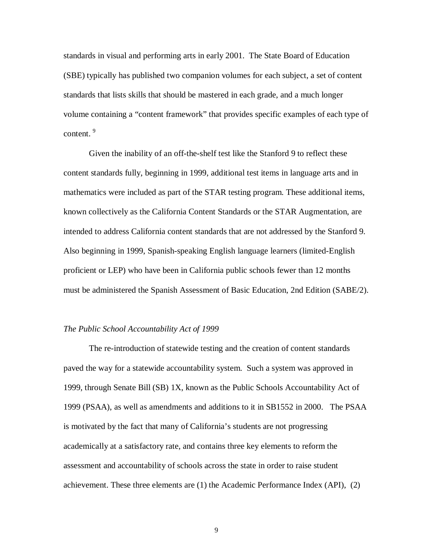standards in visual and performing arts in early 2001. The State Board of Education (SBE) typically has published two companion volumes for each subject, a set of content standards that lists skills that should be mastered in each grade, and a much longer volume containing a "content framework" that provides specific examples of each type of content.<sup>9</sup>

Given the inability of an off-the-shelf test like the Stanford 9 to reflect these content standards fully, beginning in 1999, additional test items in language arts and in mathematics were included as part of the STAR testing program. These additional items, known collectively as the California Content Standards or the STAR Augmentation, are intended to address California content standards that are not addressed by the Stanford 9. Also beginning in 1999, Spanish-speaking English language learners (limited-English proficient or LEP) who have been in California public schools fewer than 12 months must be administered the Spanish Assessment of Basic Education, 2nd Edition (SABE/2).

#### *The Public School Accountability Act of 1999*

The re-introduction of statewide testing and the creation of content standards paved the way for a statewide accountability system. Such a system was approved in 1999, through Senate Bill (SB) 1X, known as the Public Schools Accountability Act of 1999 (PSAA), as well as amendments and additions to it in SB1552 in 2000. The PSAA is motivated by the fact that many of California's students are not progressing academically at a satisfactory rate, and contains three key elements to reform the assessment and accountability of schools across the state in order to raise student achievement. These three elements are (1) the Academic Performance Index (API), (2)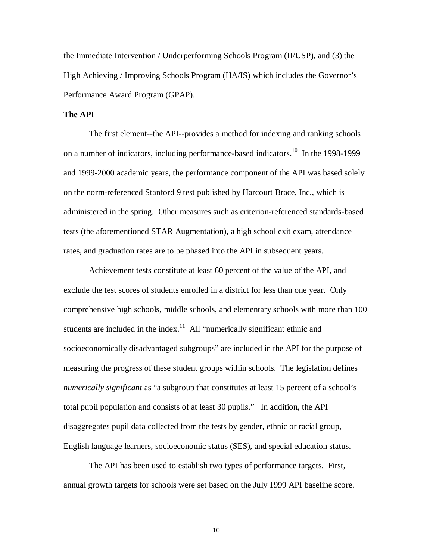the Immediate Intervention / Underperforming Schools Program (II/USP), and (3) the High Achieving / Improving Schools Program (HA/IS) which includes the Governor's Performance Award Program (GPAP).

## **The API**

The first element--the API--provides a method for indexing and ranking schools on a number of indicators, including performance-based indicators.<sup>10</sup> In the 1998-1999 and 1999-2000 academic years, the performance component of the API was based solely on the norm-referenced Stanford 9 test published by Harcourt Brace, Inc., which is administered in the spring. Other measures such as criterion-referenced standards-based tests (the aforementioned STAR Augmentation), a high school exit exam, attendance rates, and graduation rates are to be phased into the API in subsequent years.

Achievement tests constitute at least 60 percent of the value of the API, and exclude the test scores of students enrolled in a district for less than one year. Only comprehensive high schools, middle schools, and elementary schools with more than 100 students are included in the index.<sup>11</sup> All "numerically significant ethnic and socioeconomically disadvantaged subgroups" are included in the API for the purpose of measuring the progress of these student groups within schools. The legislation defines *numerically significant* as "a subgroup that constitutes at least 15 percent of a school's total pupil population and consists of at least 30 pupils." In addition, the API disaggregates pupil data collected from the tests by gender, ethnic or racial group, English language learners, socioeconomic status (SES), and special education status.

The API has been used to establish two types of performance targets. First, annual growth targets for schools were set based on the July 1999 API baseline score.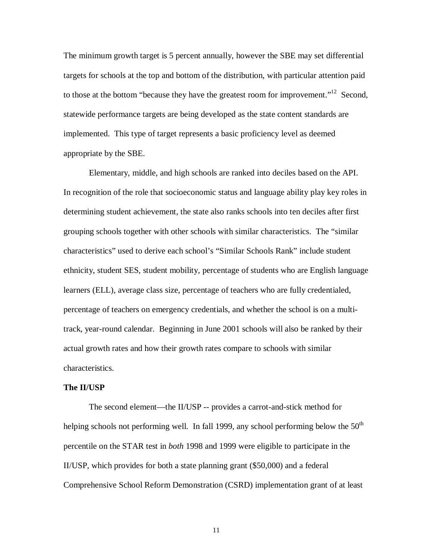The minimum growth target is 5 percent annually, however the SBE may set differential targets for schools at the top and bottom of the distribution, with particular attention paid to those at the bottom "because they have the greatest room for improvement."<sup>12</sup> Second, statewide performance targets are being developed as the state content standards are implemented. This type of target represents a basic proficiency level as deemed appropriate by the SBE.

Elementary, middle, and high schools are ranked into deciles based on the API. In recognition of the role that socioeconomic status and language ability play key roles in determining student achievement, the state also ranks schools into ten deciles after first grouping schools together with other schools with similar characteristics. The "similar characteristics" used to derive each school's "Similar Schools Rank" include student ethnicity, student SES, student mobility, percentage of students who are English language learners (ELL), average class size, percentage of teachers who are fully credentialed, percentage of teachers on emergency credentials, and whether the school is on a multitrack, year-round calendar. Beginning in June 2001 schools will also be ranked by their actual growth rates and how their growth rates compare to schools with similar characteristics.

#### **The II/USP**

The second element—the II/USP -- provides a carrot-and-stick method for helping schools not performing well. In fall 1999, any school performing below the  $50<sup>th</sup>$ percentile on the STAR test in *both* 1998 and 1999 were eligible to participate in the II/USP, which provides for both a state planning grant (\$50,000) and a federal Comprehensive School Reform Demonstration (CSRD) implementation grant of at least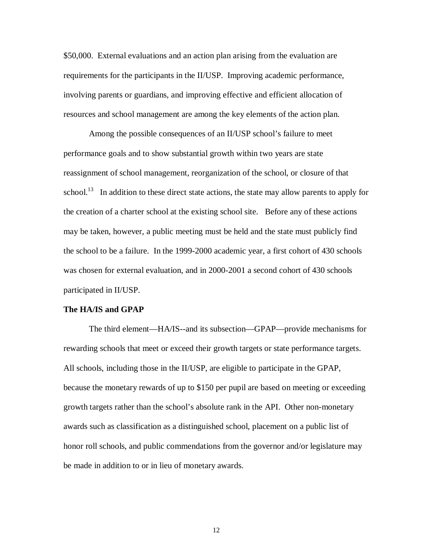\$50,000. External evaluations and an action plan arising from the evaluation are requirements for the participants in the II/USP. Improving academic performance, involving parents or guardians, and improving effective and efficient allocation of resources and school management are among the key elements of the action plan.

Among the possible consequences of an II/USP school's failure to meet performance goals and to show substantial growth within two years are state reassignment of school management, reorganization of the school, or closure of that school.<sup>13</sup> In addition to these direct state actions, the state may allow parents to apply for the creation of a charter school at the existing school site. Before any of these actions may be taken, however, a public meeting must be held and the state must publicly find the school to be a failure. In the 1999-2000 academic year, a first cohort of 430 schools was chosen for external evaluation, and in 2000-2001 a second cohort of 430 schools participated in II/USP.

#### **The HA/IS and GPAP**

The third element—HA/IS--and its subsection—GPAP—provide mechanisms for rewarding schools that meet or exceed their growth targets or state performance targets. All schools, including those in the II/USP, are eligible to participate in the GPAP, because the monetary rewards of up to \$150 per pupil are based on meeting or exceeding growth targets rather than the school's absolute rank in the API. Other non-monetary awards such as classification as a distinguished school, placement on a public list of honor roll schools, and public commendations from the governor and/or legislature may be made in addition to or in lieu of monetary awards.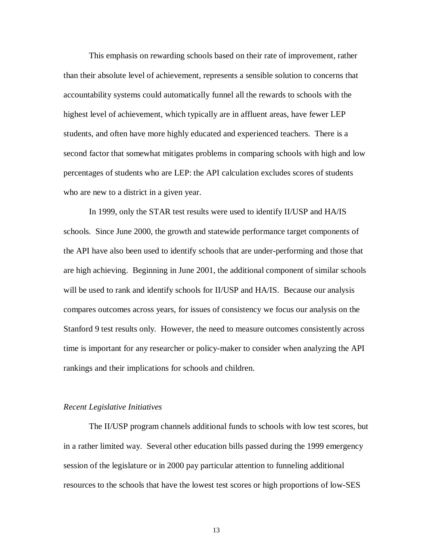This emphasis on rewarding schools based on their rate of improvement, rather than their absolute level of achievement, represents a sensible solution to concerns that accountability systems could automatically funnel all the rewards to schools with the highest level of achievement, which typically are in affluent areas, have fewer LEP students, and often have more highly educated and experienced teachers. There is a second factor that somewhat mitigates problems in comparing schools with high and low percentages of students who are LEP: the API calculation excludes scores of students who are new to a district in a given year.

In 1999, only the STAR test results were used to identify II/USP and HA/IS schools. Since June 2000, the growth and statewide performance target components of the API have also been used to identify schools that are under-performing and those that are high achieving. Beginning in June 2001, the additional component of similar schools will be used to rank and identify schools for II/USP and HA/IS. Because our analysis compares outcomes across years, for issues of consistency we focus our analysis on the Stanford 9 test results only. However, the need to measure outcomes consistently across time is important for any researcher or policy-maker to consider when analyzing the API rankings and their implications for schools and children.

#### *Recent Legislative Initiatives*

The II/USP program channels additional funds to schools with low test scores, but in a rather limited way. Several other education bills passed during the 1999 emergency session of the legislature or in 2000 pay particular attention to funneling additional resources to the schools that have the lowest test scores or high proportions of low-SES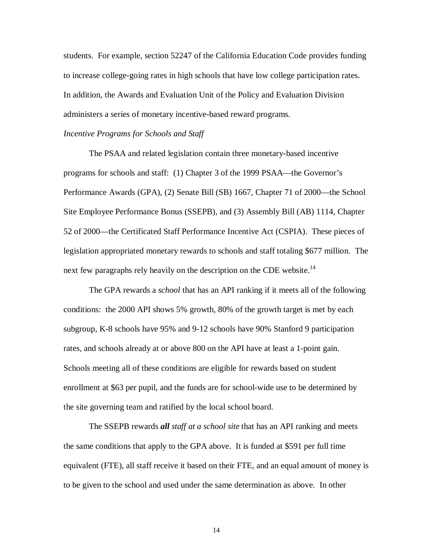students. For example, section 52247 of the California Education Code provides funding to increase college-going rates in high schools that have low college participation rates. In addition, the Awards and Evaluation Unit of the Policy and Evaluation Division administers a series of monetary incentive-based reward programs.

#### *Incentive Programs for Schools and Staff*

The PSAA and related legislation contain three monetary-based incentive programs for schools and staff: (1) Chapter 3 of the 1999 PSAA—the Governor's Performance Awards (GPA), (2) Senate Bill (SB) 1667, Chapter 71 of 2000—the School Site Employee Performance Bonus (SSEPB), and (3) Assembly Bill (AB) 1114, Chapter 52 of 2000—the Certificated Staff Performance Incentive Act (CSPIA). These pieces of legislation appropriated monetary rewards to schools and staff totaling \$677 million. The next few paragraphs rely heavily on the description on the CDE website.<sup>14</sup>

The GPA rewards a *school* that has an API ranking if it meets all of the following conditions: the 2000 API shows 5% growth, 80% of the growth target is met by each subgroup, K-8 schools have 95% and 9-12 schools have 90% Stanford 9 participation rates, and schools already at or above 800 on the API have at least a 1-point gain. Schools meeting all of these conditions are eligible for rewards based on student enrollment at \$63 per pupil, and the funds are for school-wide use to be determined by the site governing team and ratified by the local school board.

The SSEPB rewards *all staff at a school site* that has an API ranking and meets the same conditions that apply to the GPA above. It is funded at \$591 per full time equivalent (FTE), all staff receive it based on their FTE, and an equal amount of money is to be given to the school and used under the same determination as above. In other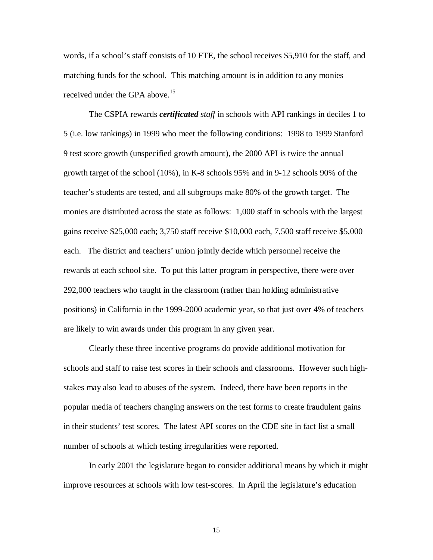words, if a school's staff consists of 10 FTE, the school receives \$5,910 for the staff, and matching funds for the school. This matching amount is in addition to any monies received under the GPA above.<sup>15</sup>

The CSPIA rewards *certificated staff* in schools with API rankings in deciles 1 to 5 (i.e. low rankings) in 1999 who meet the following conditions: 1998 to 1999 Stanford 9 test score growth (unspecified growth amount), the 2000 API is twice the annual growth target of the school (10%), in K-8 schools 95% and in 9-12 schools 90% of the teacher's students are tested, and all subgroups make 80% of the growth target. The monies are distributed across the state as follows: 1,000 staff in schools with the largest gains receive \$25,000 each; 3,750 staff receive \$10,000 each, 7,500 staff receive \$5,000 each. The district and teachers' union jointly decide which personnel receive the rewards at each school site. To put this latter program in perspective, there were over 292,000 teachers who taught in the classroom (rather than holding administrative positions) in California in the 1999-2000 academic year, so that just over 4% of teachers are likely to win awards under this program in any given year.

Clearly these three incentive programs do provide additional motivation for schools and staff to raise test scores in their schools and classrooms. However such highstakes may also lead to abuses of the system. Indeed, there have been reports in the popular media of teachers changing answers on the test forms to create fraudulent gains in their students' test scores. The latest API scores on the CDE site in fact list a small number of schools at which testing irregularities were reported.

In early 2001 the legislature began to consider additional means by which it might improve resources at schools with low test-scores. In April the legislature's education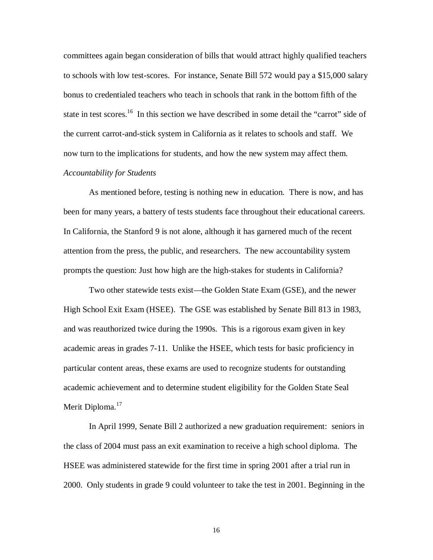committees again began consideration of bills that would attract highly qualified teachers to schools with low test-scores. For instance, Senate Bill 572 would pay a \$15,000 salary bonus to credentialed teachers who teach in schools that rank in the bottom fifth of the state in test scores.<sup>16</sup> In this section we have described in some detail the "carrot" side of the current carrot-and-stick system in California as it relates to schools and staff. We now turn to the implications for students, and how the new system may affect them. *Accountability for Students*

As mentioned before, testing is nothing new in education. There is now, and has been for many years, a battery of tests students face throughout their educational careers. In California, the Stanford 9 is not alone, although it has garnered much of the recent attention from the press, the public, and researchers. The new accountability system prompts the question: Just how high are the high-stakes for students in California?

Two other statewide tests exist—the Golden State Exam (GSE), and the newer High School Exit Exam (HSEE). The GSE was established by Senate Bill 813 in 1983, and was reauthorized twice during the 1990s. This is a rigorous exam given in key academic areas in grades 7-11. Unlike the HSEE, which tests for basic proficiency in particular content areas, these exams are used to recognize students for outstanding academic achievement and to determine student eligibility for the Golden State Seal Merit Diploma.<sup>17</sup>

In April 1999, Senate Bill 2 authorized a new graduation requirement: seniors in the class of 2004 must pass an exit examination to receive a high school diploma. The HSEE was administered statewide for the first time in spring 2001 after a trial run in 2000. Only students in grade 9 could volunteer to take the test in 2001. Beginning in the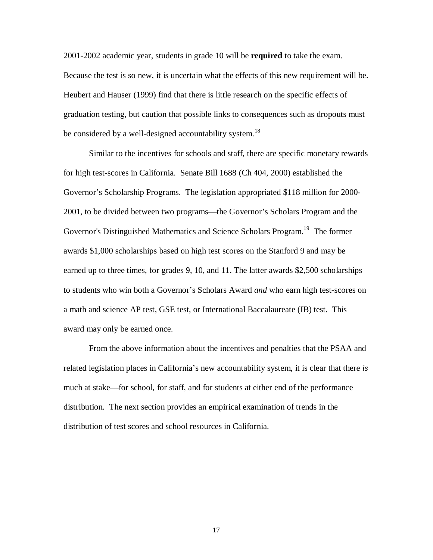2001-2002 academic year, students in grade 10 will be **required** to take the exam. Because the test is so new, it is uncertain what the effects of this new requirement will be. Heubert and Hauser (1999) find that there is little research on the specific effects of graduation testing, but caution that possible links to consequences such as dropouts must be considered by a well-designed accountability system.<sup>18</sup>

Similar to the incentives for schools and staff, there are specific monetary rewards for high test-scores in California. Senate Bill 1688 (Ch 404, 2000) established the Governor's Scholarship Programs. The legislation appropriated \$118 million for 2000- 2001, to be divided between two programs—the Governor's Scholars Program and the Governor's Distinguished Mathematics and Science Scholars Program.<sup>19</sup> The former awards \$1,000 scholarships based on high test scores on the Stanford 9 and may be earned up to three times, for grades 9, 10, and 11. The latter awards \$2,500 scholarships to students who win both a Governor's Scholars Award *and* who earn high test-scores on a math and science AP test, GSE test, or International Baccalaureate (IB) test. This award may only be earned once.

From the above information about the incentives and penalties that the PSAA and related legislation places in California's new accountability system, it is clear that there *is* much at stake—for school, for staff, and for students at either end of the performance distribution. The next section provides an empirical examination of trends in the distribution of test scores and school resources in California.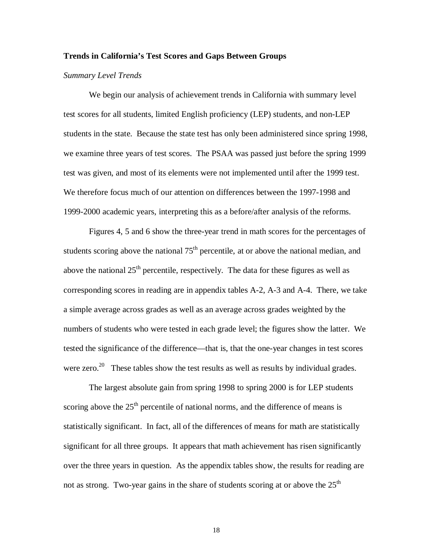#### **Trends in California's Test Scores and Gaps Between Groups**

#### *Summary Level Trends*

We begin our analysis of achievement trends in California with summary level test scores for all students, limited English proficiency (LEP) students, and non-LEP students in the state. Because the state test has only been administered since spring 1998, we examine three years of test scores. The PSAA was passed just before the spring 1999 test was given, and most of its elements were not implemented until after the 1999 test. We therefore focus much of our attention on differences between the 1997-1998 and 1999-2000 academic years, interpreting this as a before/after analysis of the reforms.

Figures 4, 5 and 6 show the three-year trend in math scores for the percentages of students scoring above the national  $75<sup>th</sup>$  percentile, at or above the national median, and above the national  $25<sup>th</sup>$  percentile, respectively. The data for these figures as well as corresponding scores in reading are in appendix tables A-2, A-3 and A-4. There, we take a simple average across grades as well as an average across grades weighted by the numbers of students who were tested in each grade level; the figures show the latter. We tested the significance of the difference—that is, that the one-year changes in test scores were zero.<sup>20</sup> These tables show the test results as well as results by individual grades.

The largest absolute gain from spring 1998 to spring 2000 is for LEP students scoring above the  $25<sup>th</sup>$  percentile of national norms, and the difference of means is statistically significant. In fact, all of the differences of means for math are statistically significant for all three groups. It appears that math achievement has risen significantly over the three years in question. As the appendix tables show, the results for reading are not as strong. Two-year gains in the share of students scoring at or above the  $25<sup>th</sup>$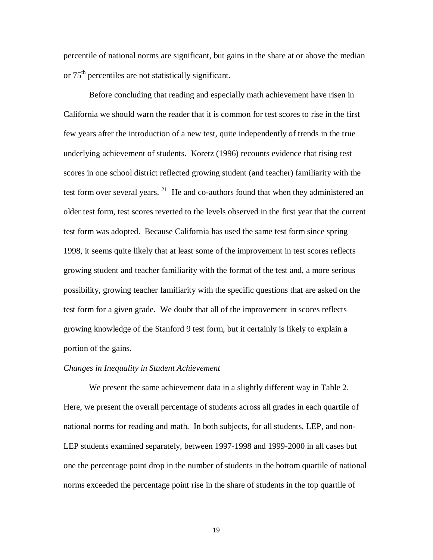percentile of national norms are significant, but gains in the share at or above the median or 75th percentiles are not statistically significant.

Before concluding that reading and especially math achievement have risen in California we should warn the reader that it is common for test scores to rise in the first few years after the introduction of a new test, quite independently of trends in the true underlying achievement of students. Koretz (1996) recounts evidence that rising test scores in one school district reflected growing student (and teacher) familiarity with the test form over several years.  $21$  He and co-authors found that when they administered an older test form, test scores reverted to the levels observed in the first year that the current test form was adopted. Because California has used the same test form since spring 1998, it seems quite likely that at least some of the improvement in test scores reflects growing student and teacher familiarity with the format of the test and, a more serious possibility, growing teacher familiarity with the specific questions that are asked on the test form for a given grade. We doubt that all of the improvement in scores reflects growing knowledge of the Stanford 9 test form, but it certainly is likely to explain a portion of the gains.

#### *Changes in Inequality in Student Achievement*

We present the same achievement data in a slightly different way in Table 2. Here, we present the overall percentage of students across all grades in each quartile of national norms for reading and math. In both subjects, for all students, LEP, and non-LEP students examined separately, between 1997-1998 and 1999-2000 in all cases but one the percentage point drop in the number of students in the bottom quartile of national norms exceeded the percentage point rise in the share of students in the top quartile of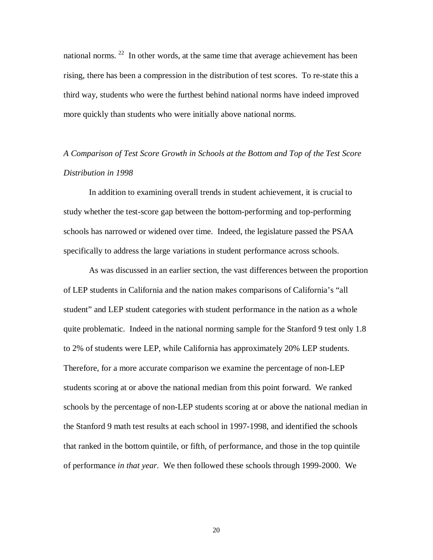national norms. <sup>22</sup> In other words, at the same time that average achievement has been rising, there has been a compression in the distribution of test scores. To re-state this a third way, students who were the furthest behind national norms have indeed improved more quickly than students who were initially above national norms.

## *A Comparison of Test Score Growth in Schools at the Bottom and Top of the Test Score Distribution in 1998*

In addition to examining overall trends in student achievement, it is crucial to study whether the test-score gap between the bottom-performing and top-performing schools has narrowed or widened over time. Indeed, the legislature passed the PSAA specifically to address the large variations in student performance across schools.

As was discussed in an earlier section, the vast differences between the proportion of LEP students in California and the nation makes comparisons of California's "all student" and LEP student categories with student performance in the nation as a whole quite problematic. Indeed in the national norming sample for the Stanford 9 test only 1.8 to 2% of students were LEP, while California has approximately 20% LEP students. Therefore, for a more accurate comparison we examine the percentage of non-LEP students scoring at or above the national median from this point forward. We ranked schools by the percentage of non-LEP students scoring at or above the national median in the Stanford 9 math test results at each school in 1997-1998, and identified the schools that ranked in the bottom quintile, or fifth, of performance, and those in the top quintile of performance *in that year*. We then followed these schools through 1999-2000. We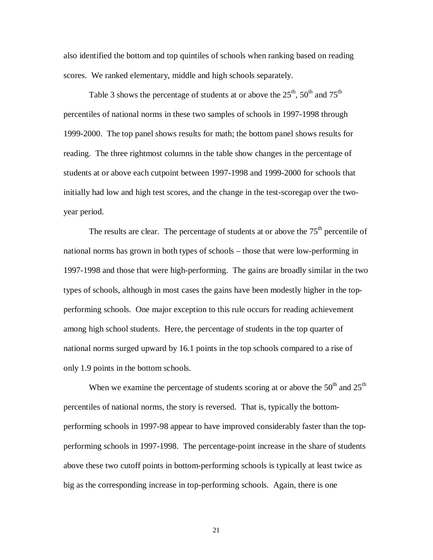also identified the bottom and top quintiles of schools when ranking based on reading scores. We ranked elementary, middle and high schools separately.

Table 3 shows the percentage of students at or above the  $25<sup>th</sup>$ ,  $50<sup>th</sup>$  and  $75<sup>th</sup>$ percentiles of national norms in these two samples of schools in 1997-1998 through 1999-2000. The top panel shows results for math; the bottom panel shows results for reading. The three rightmost columns in the table show changes in the percentage of students at or above each cutpoint between 1997-1998 and 1999-2000 for schools that initially had low and high test scores, and the change in the test-scoregap over the twoyear period.

The results are clear. The percentage of students at or above the  $75<sup>th</sup>$  percentile of national norms has grown in both types of schools – those that were low-performing in 1997-1998 and those that were high-performing. The gains are broadly similar in the two types of schools, although in most cases the gains have been modestly higher in the topperforming schools. One major exception to this rule occurs for reading achievement among high school students. Here, the percentage of students in the top quarter of national norms surged upward by 16.1 points in the top schools compared to a rise of only 1.9 points in the bottom schools.

When we examine the percentage of students scoring at or above the  $50<sup>th</sup>$  and  $25<sup>th</sup>$ percentiles of national norms, the story is reversed. That is, typically the bottomperforming schools in 1997-98 appear to have improved considerably faster than the topperforming schools in 1997-1998. The percentage-point increase in the share of students above these two cutoff points in bottom-performing schools is typically at least twice as big as the corresponding increase in top-performing schools. Again, there is one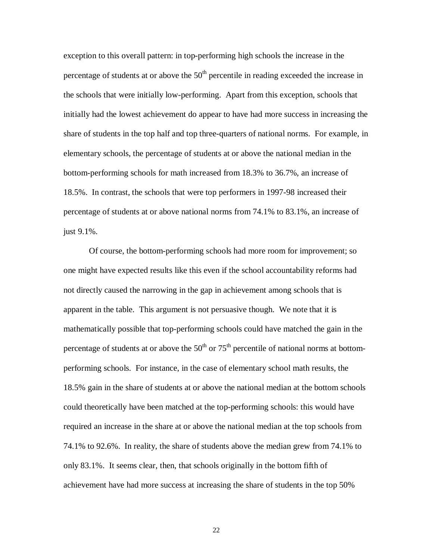exception to this overall pattern: in top-performing high schools the increase in the percentage of students at or above the  $50<sup>th</sup>$  percentile in reading exceeded the increase in the schools that were initially low-performing. Apart from this exception, schools that initially had the lowest achievement do appear to have had more success in increasing the share of students in the top half and top three-quarters of national norms. For example, in elementary schools, the percentage of students at or above the national median in the bottom-performing schools for math increased from 18.3% to 36.7%, an increase of 18.5%. In contrast, the schools that were top performers in 1997-98 increased their percentage of students at or above national norms from 74.1% to 83.1%, an increase of just 9.1%.

Of course, the bottom-performing schools had more room for improvement; so one might have expected results like this even if the school accountability reforms had not directly caused the narrowing in the gap in achievement among schools that is apparent in the table. This argument is not persuasive though. We note that it is mathematically possible that top-performing schools could have matched the gain in the percentage of students at or above the  $50<sup>th</sup>$  or  $75<sup>th</sup>$  percentile of national norms at bottomperforming schools. For instance, in the case of elementary school math results, the 18.5% gain in the share of students at or above the national median at the bottom schools could theoretically have been matched at the top-performing schools: this would have required an increase in the share at or above the national median at the top schools from 74.1% to 92.6%. In reality, the share of students above the median grew from 74.1% to only 83.1%. It seems clear, then, that schools originally in the bottom fifth of achievement have had more success at increasing the share of students in the top 50%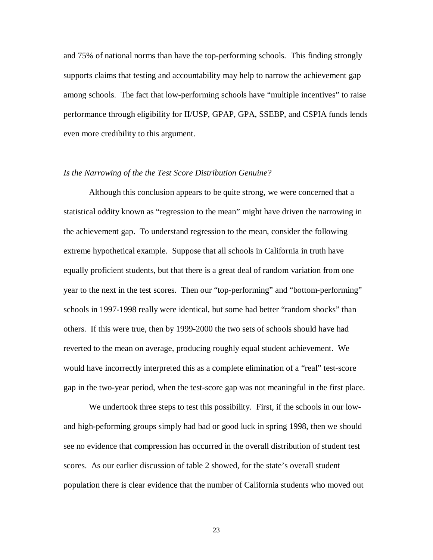and 75% of national norms than have the top-performing schools. This finding strongly supports claims that testing and accountability may help to narrow the achievement gap among schools. The fact that low-performing schools have "multiple incentives" to raise performance through eligibility for II/USP, GPAP, GPA, SSEBP, and CSPIA funds lends even more credibility to this argument.

### *Is the Narrowing of the the Test Score Distribution Genuine?*

Although this conclusion appears to be quite strong, we were concerned that a statistical oddity known as "regression to the mean" might have driven the narrowing in the achievement gap. To understand regression to the mean, consider the following extreme hypothetical example. Suppose that all schools in California in truth have equally proficient students, but that there is a great deal of random variation from one year to the next in the test scores. Then our "top-performing" and "bottom-performing" schools in 1997-1998 really were identical, but some had better "random shocks" than others. If this were true, then by 1999-2000 the two sets of schools should have had reverted to the mean on average, producing roughly equal student achievement. We would have incorrectly interpreted this as a complete elimination of a "real" test-score gap in the two-year period, when the test-score gap was not meaningful in the first place.

We undertook three steps to test this possibility. First, if the schools in our lowand high-peforming groups simply had bad or good luck in spring 1998, then we should see no evidence that compression has occurred in the overall distribution of student test scores. As our earlier discussion of table 2 showed, for the state's overall student population there is clear evidence that the number of California students who moved out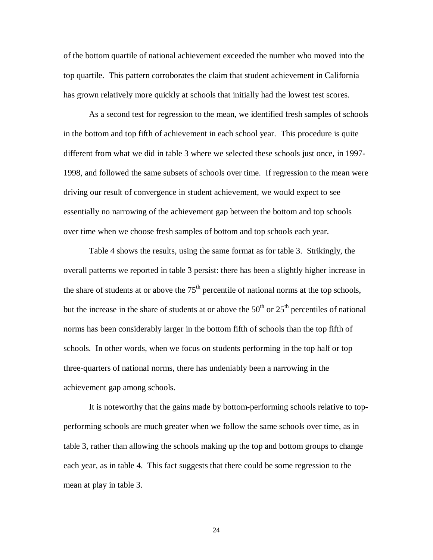of the bottom quartile of national achievement exceeded the number who moved into the top quartile. This pattern corroborates the claim that student achievement in California has grown relatively more quickly at schools that initially had the lowest test scores.

As a second test for regression to the mean, we identified fresh samples of schools in the bottom and top fifth of achievement in each school year. This procedure is quite different from what we did in table 3 where we selected these schools just once, in 1997- 1998, and followed the same subsets of schools over time. If regression to the mean were driving our result of convergence in student achievement, we would expect to see essentially no narrowing of the achievement gap between the bottom and top schools over time when we choose fresh samples of bottom and top schools each year.

Table 4 shows the results, using the same format as for table 3. Strikingly, the overall patterns we reported in table 3 persist: there has been a slightly higher increase in the share of students at or above the  $75<sup>th</sup>$  percentile of national norms at the top schools, but the increase in the share of students at or above the  $50<sup>th</sup>$  or  $25<sup>th</sup>$  percentiles of national norms has been considerably larger in the bottom fifth of schools than the top fifth of schools. In other words, when we focus on students performing in the top half or top three-quarters of national norms, there has undeniably been a narrowing in the achievement gap among schools.

It is noteworthy that the gains made by bottom-performing schools relative to topperforming schools are much greater when we follow the same schools over time, as in table 3, rather than allowing the schools making up the top and bottom groups to change each year, as in table 4. This fact suggests that there could be some regression to the mean at play in table 3.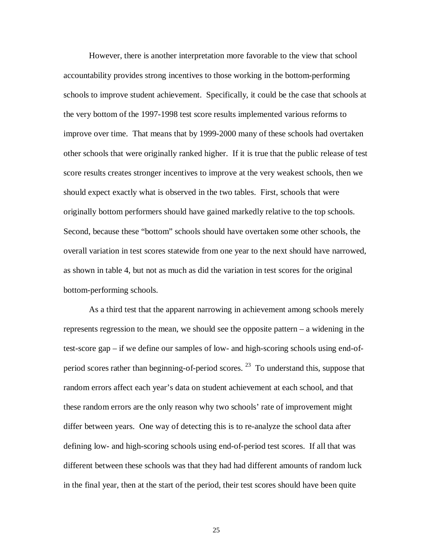However, there is another interpretation more favorable to the view that school accountability provides strong incentives to those working in the bottom-performing schools to improve student achievement. Specifically, it could be the case that schools at the very bottom of the 1997-1998 test score results implemented various reforms to improve over time. That means that by 1999-2000 many of these schools had overtaken other schools that were originally ranked higher. If it is true that the public release of test score results creates stronger incentives to improve at the very weakest schools, then we should expect exactly what is observed in the two tables. First, schools that were originally bottom performers should have gained markedly relative to the top schools. Second, because these "bottom" schools should have overtaken some other schools, the overall variation in test scores statewide from one year to the next should have narrowed, as shown in table 4, but not as much as did the variation in test scores for the original bottom-performing schools.

As a third test that the apparent narrowing in achievement among schools merely represents regression to the mean, we should see the opposite pattern – a widening in the test-score gap – if we define our samples of low- and high-scoring schools using end-ofperiod scores rather than beginning-of-period scores.  $^{23}$  To understand this, suppose that random errors affect each year's data on student achievement at each school, and that these random errors are the only reason why two schools' rate of improvement might differ between years. One way of detecting this is to re-analyze the school data after defining low- and high-scoring schools using end-of-period test scores. If all that was different between these schools was that they had had different amounts of random luck in the final year, then at the start of the period, their test scores should have been quite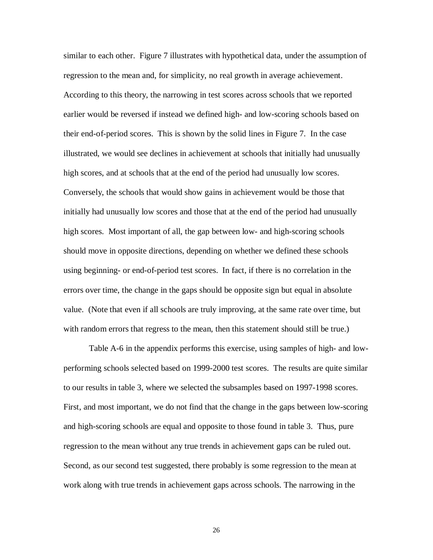similar to each other. Figure 7 illustrates with hypothetical data, under the assumption of regression to the mean and, for simplicity, no real growth in average achievement. According to this theory, the narrowing in test scores across schools that we reported earlier would be reversed if instead we defined high- and low-scoring schools based on their end-of-period scores. This is shown by the solid lines in Figure 7. In the case illustrated, we would see declines in achievement at schools that initially had unusually high scores, and at schools that at the end of the period had unusually low scores. Conversely, the schools that would show gains in achievement would be those that initially had unusually low scores and those that at the end of the period had unusually high scores. Most important of all, the gap between low- and high-scoring schools should move in opposite directions, depending on whether we defined these schools using beginning- or end-of-period test scores. In fact, if there is no correlation in the errors over time, the change in the gaps should be opposite sign but equal in absolute value. (Note that even if all schools are truly improving, at the same rate over time, but with random errors that regress to the mean, then this statement should still be true.)

Table A-6 in the appendix performs this exercise, using samples of high- and lowperforming schools selected based on 1999-2000 test scores. The results are quite similar to our results in table 3, where we selected the subsamples based on 1997-1998 scores. First, and most important, we do not find that the change in the gaps between low-scoring and high-scoring schools are equal and opposite to those found in table 3. Thus, pure regression to the mean without any true trends in achievement gaps can be ruled out. Second, as our second test suggested, there probably is some regression to the mean at work along with true trends in achievement gaps across schools. The narrowing in the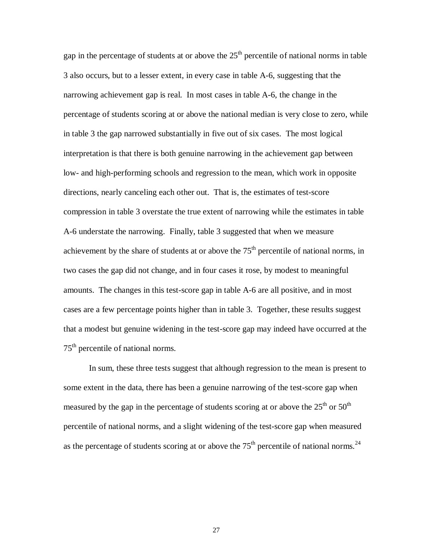gap in the percentage of students at or above the  $25<sup>th</sup>$  percentile of national norms in table 3 also occurs, but to a lesser extent, in every case in table A-6, suggesting that the narrowing achievement gap is real. In most cases in table A-6, the change in the percentage of students scoring at or above the national median is very close to zero, while in table 3 the gap narrowed substantially in five out of six cases. The most logical interpretation is that there is both genuine narrowing in the achievement gap between low- and high-performing schools and regression to the mean, which work in opposite directions, nearly canceling each other out. That is, the estimates of test-score compression in table 3 overstate the true extent of narrowing while the estimates in table A-6 understate the narrowing. Finally, table 3 suggested that when we measure achievement by the share of students at or above the  $75<sup>th</sup>$  percentile of national norms, in two cases the gap did not change, and in four cases it rose, by modest to meaningful amounts. The changes in this test-score gap in table A-6 are all positive, and in most cases are a few percentage points higher than in table 3. Together, these results suggest that a modest but genuine widening in the test-score gap may indeed have occurred at the 75<sup>th</sup> percentile of national norms.

In sum, these three tests suggest that although regression to the mean is present to some extent in the data, there has been a genuine narrowing of the test-score gap when measured by the gap in the percentage of students scoring at or above the  $25<sup>th</sup>$  or  $50<sup>th</sup>$ percentile of national norms, and a slight widening of the test-score gap when measured as the percentage of students scoring at or above the  $75<sup>th</sup>$  percentile of national norms.<sup>24</sup>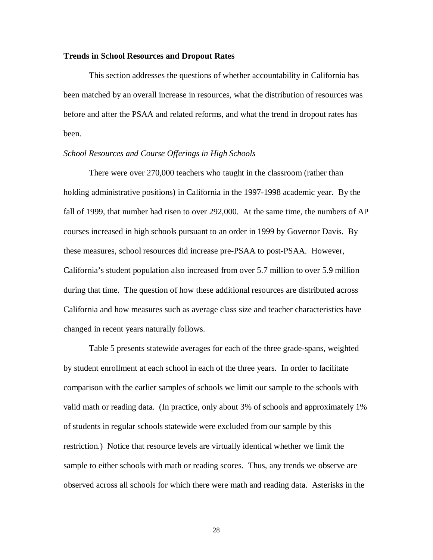### **Trends in School Resources and Dropout Rates**

This section addresses the questions of whether accountability in California has been matched by an overall increase in resources, what the distribution of resources was before and after the PSAA and related reforms, and what the trend in dropout rates has been.

### *School Resources and Course Offerings in High Schools*

There were over 270,000 teachers who taught in the classroom (rather than holding administrative positions) in California in the 1997-1998 academic year. By the fall of 1999, that number had risen to over 292,000. At the same time, the numbers of AP courses increased in high schools pursuant to an order in 1999 by Governor Davis. By these measures, school resources did increase pre-PSAA to post-PSAA. However, California's student population also increased from over 5.7 million to over 5.9 million during that time. The question of how these additional resources are distributed across California and how measures such as average class size and teacher characteristics have changed in recent years naturally follows.

Table 5 presents statewide averages for each of the three grade-spans, weighted by student enrollment at each school in each of the three years. In order to facilitate comparison with the earlier samples of schools we limit our sample to the schools with valid math or reading data. (In practice, only about 3% of schools and approximately 1% of students in regular schools statewide were excluded from our sample by this restriction.) Notice that resource levels are virtually identical whether we limit the sample to either schools with math or reading scores. Thus, any trends we observe are observed across all schools for which there were math and reading data. Asterisks in the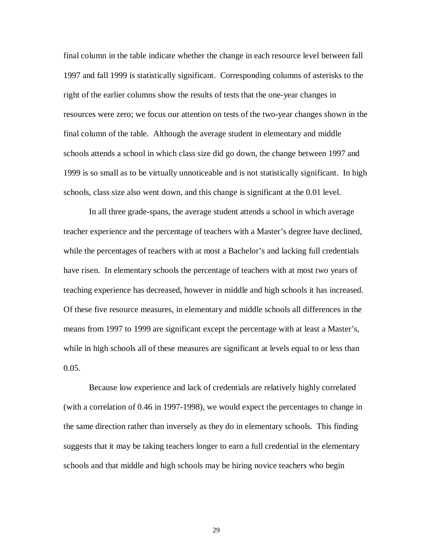final column in the table indicate whether the change in each resource level between fall 1997 and fall 1999 is statistically significant. Corresponding columns of asterisks to the right of the earlier columns show the results of tests that the one-year changes in resources were zero; we focus our attention on tests of the two-year changes shown in the final column of the table. Although the average student in elementary and middle schools attends a school in which class size did go down, the change between 1997 and 1999 is so small as to be virtually unnoticeable and is not statistically significant. In high schools, class size also went down, and this change is significant at the 0.01 level.

In all three grade-spans, the average student attends a school in which average teacher experience and the percentage of teachers with a Master's degree have declined, while the percentages of teachers with at most a Bachelor's and lacking full credentials have risen. In elementary schools the percentage of teachers with at most two years of teaching experience has decreased, however in middle and high schools it has increased. Of these five resource measures, in elementary and middle schools all differences in the means from 1997 to 1999 are significant except the percentage with at least a Master's, while in high schools all of these measures are significant at levels equal to or less than 0.05.

Because low experience and lack of credentials are relatively highly correlated (with a correlation of 0.46 in 1997-1998), we would expect the percentages to change in the same direction rather than inversely as they do in elementary schools. This finding suggests that it may be taking teachers longer to earn a full credential in the elementary schools and that middle and high schools may be hiring novice teachers who begin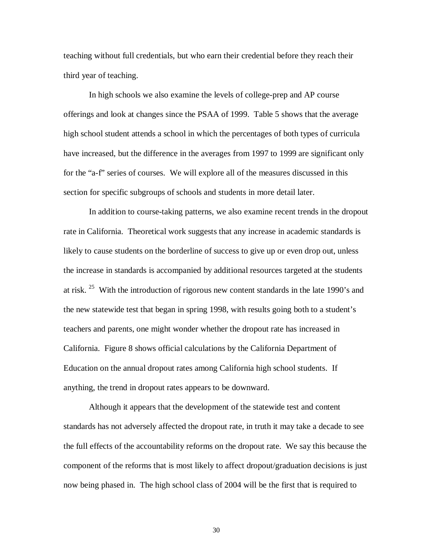teaching without full credentials, but who earn their credential before they reach their third year of teaching.

In high schools we also examine the levels of college-prep and AP course offerings and look at changes since the PSAA of 1999. Table 5 shows that the average high school student attends a school in which the percentages of both types of curricula have increased, but the difference in the averages from 1997 to 1999 are significant only for the "a-f" series of courses. We will explore all of the measures discussed in this section for specific subgroups of schools and students in more detail later.

In addition to course-taking patterns, we also examine recent trends in the dropout rate in California. Theoretical work suggests that any increase in academic standards is likely to cause students on the borderline of success to give up or even drop out, unless the increase in standards is accompanied by additional resources targeted at the students at risk. <sup>25</sup> With the introduction of rigorous new content standards in the late 1990's and the new statewide test that began in spring 1998, with results going both to a student's teachers and parents, one might wonder whether the dropout rate has increased in California. Figure 8 shows official calculations by the California Department of Education on the annual dropout rates among California high school students. If anything, the trend in dropout rates appears to be downward.

Although it appears that the development of the statewide test and content standards has not adversely affected the dropout rate, in truth it may take a decade to see the full effects of the accountability reforms on the dropout rate. We say this because the component of the reforms that is most likely to affect dropout/graduation decisions is just now being phased in. The high school class of 2004 will be the first that is required to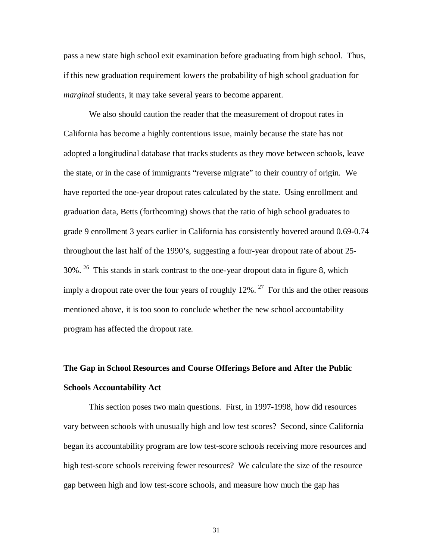pass a new state high school exit examination before graduating from high school. Thus, if this new graduation requirement lowers the probability of high school graduation for *marginal* students, it may take several years to become apparent.

We also should caution the reader that the measurement of dropout rates in California has become a highly contentious issue, mainly because the state has not adopted a longitudinal database that tracks students as they move between schools, leave the state, or in the case of immigrants "reverse migrate" to their country of origin. We have reported the one-year dropout rates calculated by the state. Using enrollment and graduation data, Betts (forthcoming) shows that the ratio of high school graduates to grade 9 enrollment 3 years earlier in California has consistently hovered around 0.69-0.74 throughout the last half of the 1990's, suggesting a four-year dropout rate of about 25- 30%. <sup>26</sup> This stands in stark contrast to the one-year dropout data in figure 8, which imply a dropout rate over the four years of roughly  $12\%$ . <sup>27</sup> For this and the other reasons mentioned above, it is too soon to conclude whether the new school accountability program has affected the dropout rate.

## **The Gap in School Resources and Course Offerings Before and After the Public Schools Accountability Act**

This section poses two main questions. First, in 1997-1998, how did resources vary between schools with unusually high and low test scores? Second, since California began its accountability program are low test-score schools receiving more resources and high test-score schools receiving fewer resources? We calculate the size of the resource gap between high and low test-score schools, and measure how much the gap has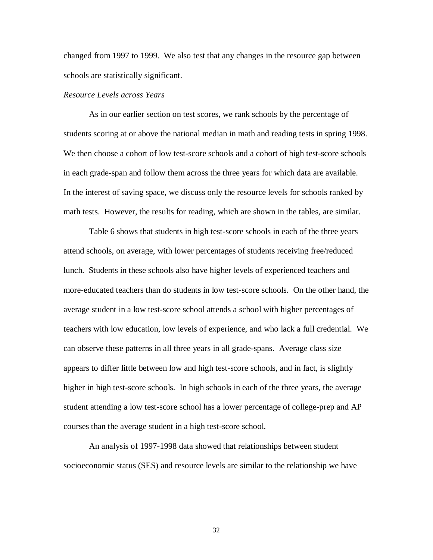changed from 1997 to 1999. We also test that any changes in the resource gap between schools are statistically significant.

### *Resource Levels across Years*

As in our earlier section on test scores, we rank schools by the percentage of students scoring at or above the national median in math and reading tests in spring 1998. We then choose a cohort of low test-score schools and a cohort of high test-score schools in each grade-span and follow them across the three years for which data are available. In the interest of saving space, we discuss only the resource levels for schools ranked by math tests. However, the results for reading, which are shown in the tables, are similar.

Table 6 shows that students in high test-score schools in each of the three years attend schools, on average, with lower percentages of students receiving free/reduced lunch. Students in these schools also have higher levels of experienced teachers and more-educated teachers than do students in low test-score schools. On the other hand, the average student in a low test-score school attends a school with higher percentages of teachers with low education, low levels of experience, and who lack a full credential. We can observe these patterns in all three years in all grade-spans. Average class size appears to differ little between low and high test-score schools, and in fact, is slightly higher in high test-score schools. In high schools in each of the three years, the average student attending a low test-score school has a lower percentage of college-prep and AP courses than the average student in a high test-score school.

An analysis of 1997-1998 data showed that relationships between student socioeconomic status (SES) and resource levels are similar to the relationship we have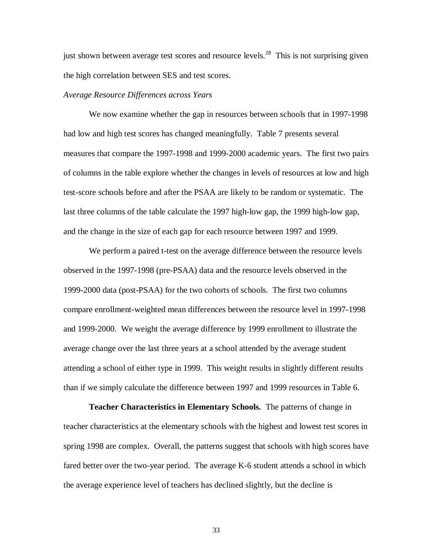just shown between average test scores and resource levels.<sup>28</sup> This is not surprising given the high correlation between SES and test scores.

#### *Average Resource Differences across Years*

We now examine whether the gap in resources between schools that in 1997-1998 had low and high test scores has changed meaningfully. Table 7 presents several measures that compare the 1997-1998 and 1999-2000 academic years. The first two pairs of columns in the table explore whether the changes in levels of resources at low and high test-score schools before and after the PSAA are likely to be random or systematic. The last three columns of the table calculate the 1997 high-low gap, the 1999 high-low gap, and the change in the size of each gap for each resource between 1997 and 1999.

We perform a paired t-test on the average difference between the resource levels observed in the 1997-1998 (pre-PSAA) data and the resource levels observed in the 1999-2000 data (post-PSAA) for the two cohorts of schools. The first two columns compare enrollment-weighted mean differences between the resource level in 1997-1998 and 1999-2000. We weight the average difference by 1999 enrollment to illustrate the average change over the last three years at a school attended by the average student attending a school of either type in 1999. This weight results in slightly different results than if we simply calculate the difference between 1997 and 1999 resources in Table 6.

**Teacher Characteristics in Elementary Schools.** The patterns of change in teacher characteristics at the elementary schools with the highest and lowest test scores in spring 1998 are complex. Overall, the patterns suggest that schools with high scores have fared better over the two-year period. The average K-6 student attends a school in which the average experience level of teachers has declined slightly, but the decline is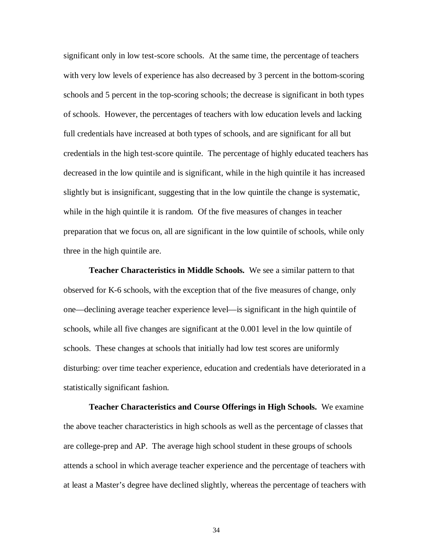significant only in low test-score schools. At the same time, the percentage of teachers with very low levels of experience has also decreased by 3 percent in the bottom-scoring schools and 5 percent in the top-scoring schools; the decrease is significant in both types of schools. However, the percentages of teachers with low education levels and lacking full credentials have increased at both types of schools, and are significant for all but credentials in the high test-score quintile. The percentage of highly educated teachers has decreased in the low quintile and is significant, while in the high quintile it has increased slightly but is insignificant, suggesting that in the low quintile the change is systematic, while in the high quintile it is random. Of the five measures of changes in teacher preparation that we focus on, all are significant in the low quintile of schools, while only three in the high quintile are.

**Teacher Characteristics in Middle Schools.** We see a similar pattern to that observed for K-6 schools, with the exception that of the five measures of change, only one—declining average teacher experience level—is significant in the high quintile of schools, while all five changes are significant at the 0.001 level in the low quintile of schools. These changes at schools that initially had low test scores are uniformly disturbing: over time teacher experience, education and credentials have deteriorated in a statistically significant fashion.

**Teacher Characteristics and Course Offerings in High Schools.** We examine the above teacher characteristics in high schools as well as the percentage of classes that are college-prep and AP. The average high school student in these groups of schools attends a school in which average teacher experience and the percentage of teachers with at least a Master's degree have declined slightly, whereas the percentage of teachers with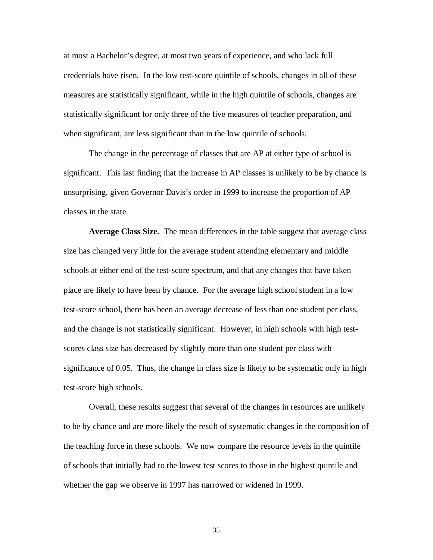at most a Bachelor's degree, at most two years of experience, and who lack full credentials have risen. In the low test-score quintile of schools, changes in all of these measures are statistically significant, while in the high quintile of schools, changes are statistically significant for only three of the five measures of teacher preparation, and when significant, are less significant than in the low quintile of schools.

The change in the percentage of classes that are AP at either type of school is significant. This last finding that the increase in AP classes is unlikely to be by chance is unsurprising, given Governor Davis's order in 1999 to increase the proportion of AP classes in the state.

**Average Class Size.** The mean differences in the table suggest that average class size has changed very little for the average student attending elementary and middle schools at either end of the test-score spectrum, and that any changes that have taken place are likely to have been by chance. For the average high school student in a low test-score school, there has been an average decrease of less than one student per class, and the change is not statistically significant. However, in high schools with high testscores class size has decreased by slightly more than one student per class with significance of 0.05. Thus, the change in class size is likely to be systematic only in high test-score high schools.

Overall, these results suggest that several of the changes in resources are unlikely to be by chance and are more likely the result of systematic changes in the composition of the teaching force in these schools. We now compare the resource levels in the quintile of schools that initially had to the lowest test scores to those in the highest quintile and whether the gap we observe in 1997 has narrowed or widened in 1999.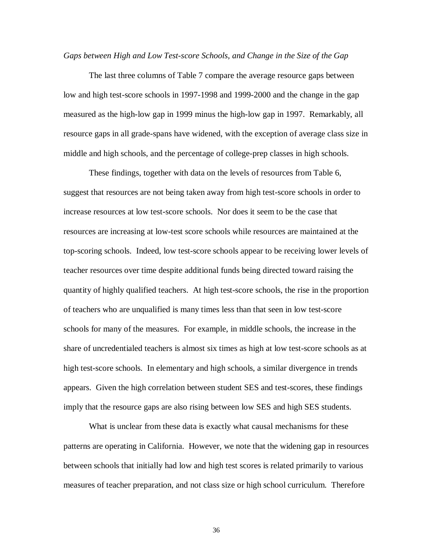#### *Gaps between High and Low Test-score Schools, and Change in the Size of the Gap*

The last three columns of Table 7 compare the average resource gaps between low and high test-score schools in 1997-1998 and 1999-2000 and the change in the gap measured as the high-low gap in 1999 minus the high-low gap in 1997. Remarkably, all resource gaps in all grade-spans have widened, with the exception of average class size in middle and high schools, and the percentage of college-prep classes in high schools.

These findings, together with data on the levels of resources from Table 6, suggest that resources are not being taken away from high test-score schools in order to increase resources at low test-score schools. Nor does it seem to be the case that resources are increasing at low-test score schools while resources are maintained at the top-scoring schools. Indeed, low test-score schools appear to be receiving lower levels of teacher resources over time despite additional funds being directed toward raising the quantity of highly qualified teachers. At high test-score schools, the rise in the proportion of teachers who are unqualified is many times less than that seen in low test-score schools for many of the measures. For example, in middle schools, the increase in the share of uncredentialed teachers is almost six times as high at low test-score schools as at high test-score schools. In elementary and high schools, a similar divergence in trends appears. Given the high correlation between student SES and test-scores, these findings imply that the resource gaps are also rising between low SES and high SES students.

What is unclear from these data is exactly what causal mechanisms for these patterns are operating in California. However, we note that the widening gap in resources between schools that initially had low and high test scores is related primarily to various measures of teacher preparation, and not class size or high school curriculum. Therefore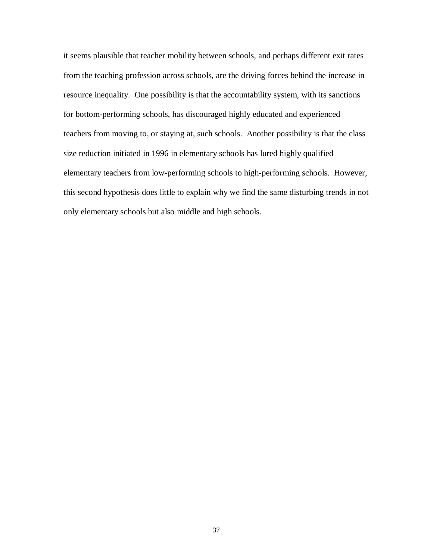it seems plausible that teacher mobility between schools, and perhaps different exit rates from the teaching profession across schools, are the driving forces behind the increase in resource inequality. One possibility is that the accountability system, with its sanctions for bottom-performing schools, has discouraged highly educated and experienced teachers from moving to, or staying at, such schools. Another possibility is that the class size reduction initiated in 1996 in elementary schools has lured highly qualified elementary teachers from low-performing schools to high-performing schools. However, this second hypothesis does little to explain why we find the same disturbing trends in not only elementary schools but also middle and high schools.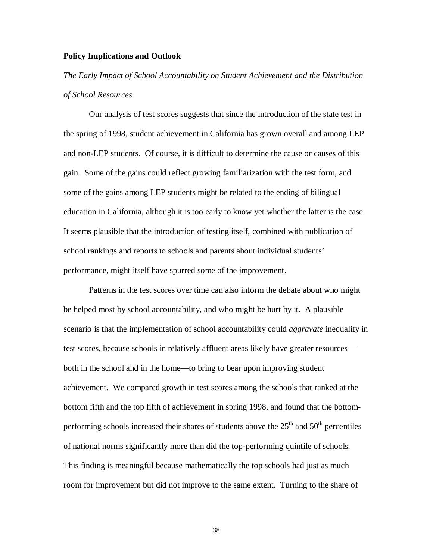#### **Policy Implications and Outlook**

*The Early Impact of School Accountability on Student Achievement and the Distribution of School Resources*

Our analysis of test scores suggests that since the introduction of the state test in the spring of 1998, student achievement in California has grown overall and among LEP and non-LEP students. Of course, it is difficult to determine the cause or causes of this gain. Some of the gains could reflect growing familiarization with the test form, and some of the gains among LEP students might be related to the ending of bilingual education in California, although it is too early to know yet whether the latter is the case. It seems plausible that the introduction of testing itself, combined with publication of school rankings and reports to schools and parents about individual students' performance, might itself have spurred some of the improvement.

Patterns in the test scores over time can also inform the debate about who might be helped most by school accountability, and who might be hurt by it. A plausible scenario is that the implementation of school accountability could *aggravate* inequality in test scores, because schools in relatively affluent areas likely have greater resources both in the school and in the home—to bring to bear upon improving student achievement. We compared growth in test scores among the schools that ranked at the bottom fifth and the top fifth of achievement in spring 1998, and found that the bottomperforming schools increased their shares of students above the  $25<sup>th</sup>$  and  $50<sup>th</sup>$  percentiles of national norms significantly more than did the top-performing quintile of schools. This finding is meaningful because mathematically the top schools had just as much room for improvement but did not improve to the same extent. Turning to the share of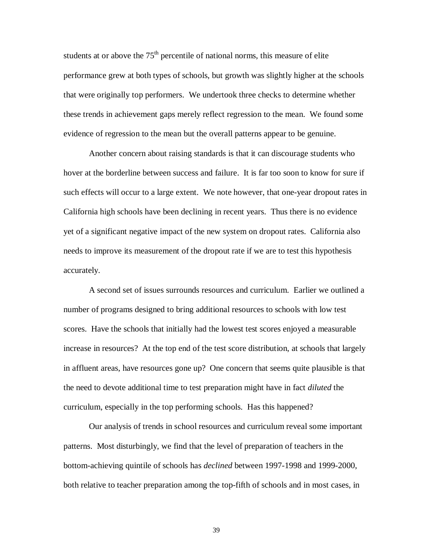students at or above the  $75<sup>th</sup>$  percentile of national norms, this measure of elite performance grew at both types of schools, but growth was slightly higher at the schools that were originally top performers. We undertook three checks to determine whether these trends in achievement gaps merely reflect regression to the mean. We found some evidence of regression to the mean but the overall patterns appear to be genuine.

Another concern about raising standards is that it can discourage students who hover at the borderline between success and failure. It is far too soon to know for sure if such effects will occur to a large extent. We note however, that one-year dropout rates in California high schools have been declining in recent years. Thus there is no evidence yet of a significant negative impact of the new system on dropout rates. California also needs to improve its measurement of the dropout rate if we are to test this hypothesis accurately.

A second set of issues surrounds resources and curriculum. Earlier we outlined a number of programs designed to bring additional resources to schools with low test scores. Have the schools that initially had the lowest test scores enjoyed a measurable increase in resources? At the top end of the test score distribution, at schools that largely in affluent areas, have resources gone up? One concern that seems quite plausible is that the need to devote additional time to test preparation might have in fact *diluted* the curriculum, especially in the top performing schools. Has this happened?

Our analysis of trends in school resources and curriculum reveal some important patterns. Most disturbingly, we find that the level of preparation of teachers in the bottom-achieving quintile of schools has *declined* between 1997-1998 and 1999-2000, both relative to teacher preparation among the top-fifth of schools and in most cases, in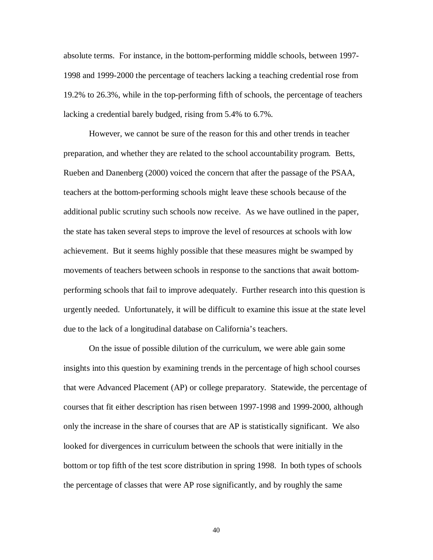absolute terms. For instance, in the bottom-performing middle schools, between 1997- 1998 and 1999-2000 the percentage of teachers lacking a teaching credential rose from 19.2% to 26.3%, while in the top-performing fifth of schools, the percentage of teachers lacking a credential barely budged, rising from 5.4% to 6.7%.

However, we cannot be sure of the reason for this and other trends in teacher preparation, and whether they are related to the school accountability program. Betts, Rueben and Danenberg (2000) voiced the concern that after the passage of the PSAA, teachers at the bottom-performing schools might leave these schools because of the additional public scrutiny such schools now receive. As we have outlined in the paper, the state has taken several steps to improve the level of resources at schools with low achievement. But it seems highly possible that these measures might be swamped by movements of teachers between schools in response to the sanctions that await bottomperforming schools that fail to improve adequately. Further research into this question is urgently needed. Unfortunately, it will be difficult to examine this issue at the state level due to the lack of a longitudinal database on California's teachers.

On the issue of possible dilution of the curriculum, we were able gain some insights into this question by examining trends in the percentage of high school courses that were Advanced Placement (AP) or college preparatory. Statewide, the percentage of courses that fit either description has risen between 1997-1998 and 1999-2000, although only the increase in the share of courses that are AP is statistically significant. We also looked for divergences in curriculum between the schools that were initially in the bottom or top fifth of the test score distribution in spring 1998. In both types of schools the percentage of classes that were AP rose significantly, and by roughly the same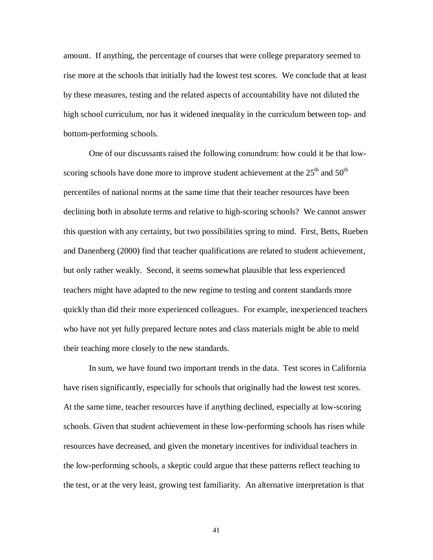amount. If anything, the percentage of courses that were college preparatory seemed to rise more at the schools that initially had the lowest test scores. We conclude that at least by these measures, testing and the related aspects of accountability have not diluted the high school curriculum, nor has it widened inequality in the curriculum between top- and bottom-performing schools.

One of our discussants raised the following conundrum: how could it be that lowscoring schools have done more to improve student achievement at the  $25<sup>th</sup>$  and  $50<sup>th</sup>$ percentiles of national norms at the same time that their teacher resources have been declining both in absolute terms and relative to high-scoring schools? We cannot answer this question with any certainty, but two possibilities spring to mind. First, Betts, Rueben and Danenberg (2000) find that teacher qualifications are related to student achievement, but only rather weakly. Second, it seems somewhat plausible that less experienced teachers might have adapted to the new regime to testing and content standards more quickly than did their more experienced colleagues. For example, inexperienced teachers who have not yet fully prepared lecture notes and class materials might be able to meld their teaching more closely to the new standards.

In sum, we have found two important trends in the data. Test scores in California have risen significantly, especially for schools that originally had the lowest test scores. At the same time, teacher resources have if anything declined, especially at low-scoring schools. Given that student achievement in these low-performing schools has risen while resources have decreased, and given the monetary incentives for individual teachers in the low-performing schools, a skeptic could argue that these patterns reflect teaching to the test, or at the very least, growing test familiarity. An alternative interpretation is that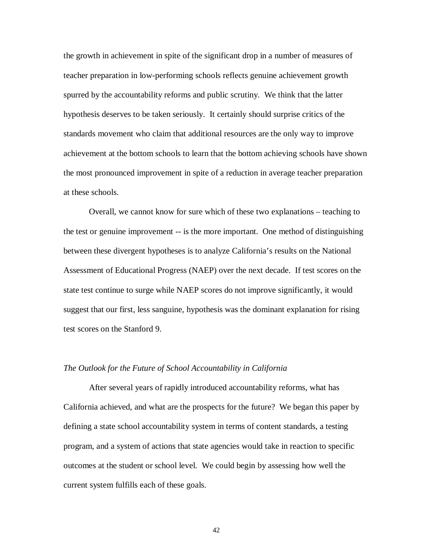the growth in achievement in spite of the significant drop in a number of measures of teacher preparation in low-performing schools reflects genuine achievement growth spurred by the accountability reforms and public scrutiny. We think that the latter hypothesis deserves to be taken seriously. It certainly should surprise critics of the standards movement who claim that additional resources are the only way to improve achievement at the bottom schools to learn that the bottom achieving schools have shown the most pronounced improvement in spite of a reduction in average teacher preparation at these schools.

Overall, we cannot know for sure which of these two explanations – teaching to the test or genuine improvement -- is the more important. One method of distinguishing between these divergent hypotheses is to analyze California's results on the National Assessment of Educational Progress (NAEP) over the next decade. If test scores on the state test continue to surge while NAEP scores do not improve significantly, it would suggest that our first, less sanguine, hypothesis was the dominant explanation for rising test scores on the Stanford 9.

#### *The Outlook for the Future of School Accountability in California*

After several years of rapidly introduced accountability reforms, what has California achieved, and what are the prospects for the future? We began this paper by defining a state school accountability system in terms of content standards, a testing program, and a system of actions that state agencies would take in reaction to specific outcomes at the student or school level. We could begin by assessing how well the current system fulfills each of these goals.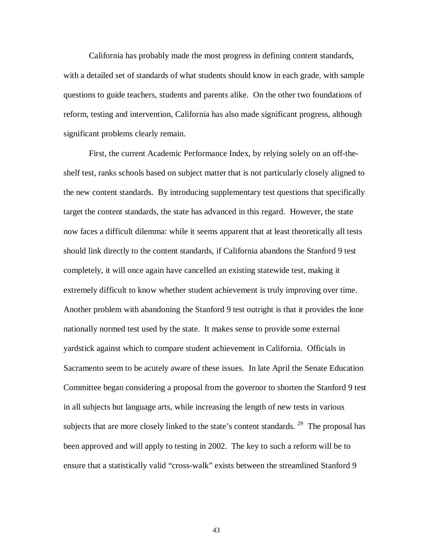California has probably made the most progress in defining content standards, with a detailed set of standards of what students should know in each grade, with sample questions to guide teachers, students and parents alike. On the other two foundations of reform, testing and intervention, California has also made significant progress, although significant problems clearly remain.

First, the current Academic Performance Index, by relying solely on an off-theshelf test, ranks schools based on subject matter that is not particularly closely aligned to the new content standards. By introducing supplementary test questions that specifically target the content standards, the state has advanced in this regard. However, the state now faces a difficult dilemma: while it seems apparent that at least theoretically all tests should link directly to the content standards, if California abandons the Stanford 9 test completely, it will once again have cancelled an existing statewide test, making it extremely difficult to know whether student achievement is truly improving over time. Another problem with abandoning the Stanford 9 test outright is that it provides the lone nationally normed test used by the state. It makes sense to provide some external yardstick against which to compare student achievement in California. Officials in Sacramento seem to be acutely aware of these issues. In late April the Senate Education Committee began considering a proposal from the governor to shorten the Stanford 9 test in all subjects but language arts, while increasing the length of new tests in various subjects that are more closely linked to the state's content standards. <sup>29</sup> The proposal has been approved and will apply to testing in 2002. The key to such a reform will be to ensure that a statistically valid "cross-walk" exists between the streamlined Stanford 9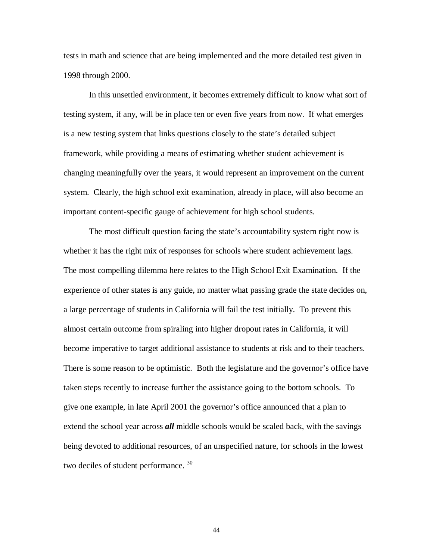tests in math and science that are being implemented and the more detailed test given in 1998 through 2000.

In this unsettled environment, it becomes extremely difficult to know what sort of testing system, if any, will be in place ten or even five years from now. If what emerges is a new testing system that links questions closely to the state's detailed subject framework, while providing a means of estimating whether student achievement is changing meaningfully over the years, it would represent an improvement on the current system. Clearly, the high school exit examination, already in place, will also become an important content-specific gauge of achievement for high school students.

The most difficult question facing the state's accountability system right now is whether it has the right mix of responses for schools where student achievement lags. The most compelling dilemma here relates to the High School Exit Examination. If the experience of other states is any guide, no matter what passing grade the state decides on, a large percentage of students in California will fail the test initially. To prevent this almost certain outcome from spiraling into higher dropout rates in California, it will become imperative to target additional assistance to students at risk and to their teachers. There is some reason to be optimistic. Both the legislature and the governor's office have taken steps recently to increase further the assistance going to the bottom schools. To give one example, in late April 2001 the governor's office announced that a plan to extend the school year across *all* middle schools would be scaled back, with the savings being devoted to additional resources, of an unspecified nature, for schools in the lowest two deciles of student performance.<sup>30</sup>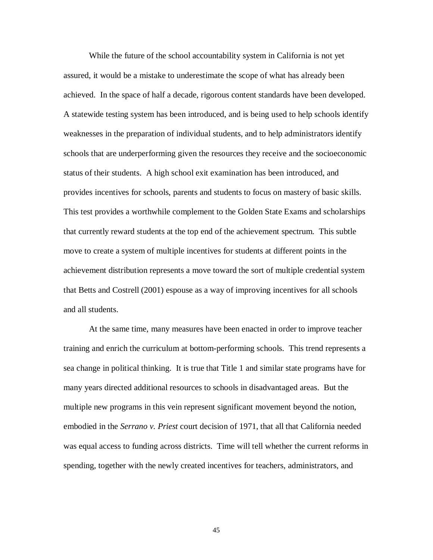While the future of the school accountability system in California is not yet assured, it would be a mistake to underestimate the scope of what has already been achieved. In the space of half a decade, rigorous content standards have been developed. A statewide testing system has been introduced, and is being used to help schools identify weaknesses in the preparation of individual students, and to help administrators identify schools that are underperforming given the resources they receive and the socioeconomic status of their students. A high school exit examination has been introduced, and provides incentives for schools, parents and students to focus on mastery of basic skills. This test provides a worthwhile complement to the Golden State Exams and scholarships that currently reward students at the top end of the achievement spectrum. This subtle move to create a system of multiple incentives for students at different points in the achievement distribution represents a move toward the sort of multiple credential system that Betts and Costrell (2001) espouse as a way of improving incentives for all schools and all students.

At the same time, many measures have been enacted in order to improve teacher training and enrich the curriculum at bottom-performing schools. This trend represents a sea change in political thinking. It is true that Title 1 and similar state programs have for many years directed additional resources to schools in disadvantaged areas. But the multiple new programs in this vein represent significant movement beyond the notion, embodied in the *Serrano v. Priest* court decision of 1971, that all that California needed was equal access to funding across districts. Time will tell whether the current reforms in spending, together with the newly created incentives for teachers, administrators, and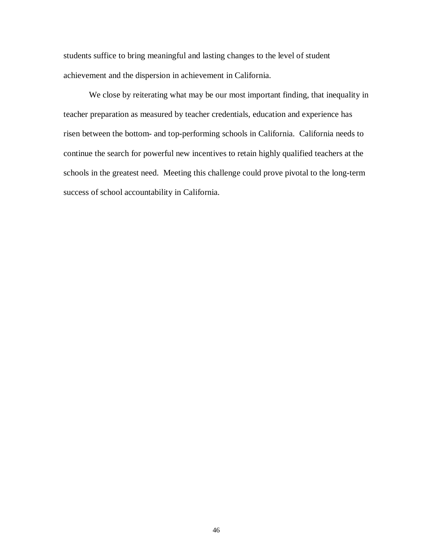students suffice to bring meaningful and lasting changes to the level of student achievement and the dispersion in achievement in California.

We close by reiterating what may be our most important finding, that inequality in teacher preparation as measured by teacher credentials, education and experience has risen between the bottom- and top-performing schools in California. California needs to continue the search for powerful new incentives to retain highly qualified teachers at the schools in the greatest need. Meeting this challenge could prove pivotal to the long-term success of school accountability in California.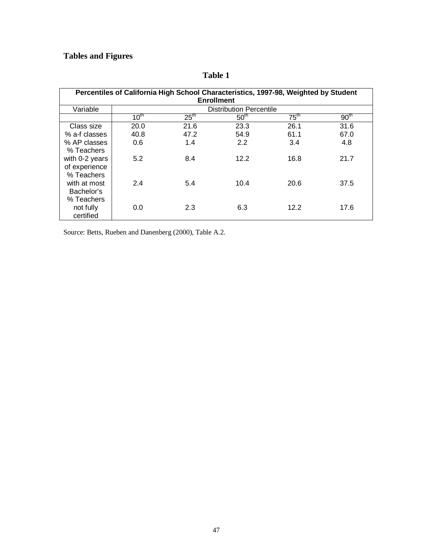# **Tables and Figures**

|                |           | Percentiles of California High School Characteristics, 1997-98, Weighted by Student | <b>Enrollment</b>              |                  |                  |
|----------------|-----------|-------------------------------------------------------------------------------------|--------------------------------|------------------|------------------|
| Variable       |           |                                                                                     | <b>Distribution Percentile</b> |                  |                  |
|                | $10^{th}$ | 25 <sup>th</sup>                                                                    | 50 <sup>th</sup>               | $75^{\text{th}}$ | 90 <sup>th</sup> |
| Class size     | 20.0      | 21.6                                                                                | 23.3                           | 26.1             | 31.6             |
| % a-f classes  | 40.8      | 47.2                                                                                | 54.9                           | 61.1             | 67.0             |
| % AP classes   | 0.6       | 1.4                                                                                 | 2.2                            | 3.4              | 4.8              |
| % Teachers     |           |                                                                                     |                                |                  |                  |
| with 0-2 years | 5.2       | 8.4                                                                                 | 12.2                           | 16.8             | 21.7             |
| of experience  |           |                                                                                     |                                |                  |                  |
| % Teachers     |           |                                                                                     |                                |                  |                  |
| with at most   | 2.4       | 5.4                                                                                 | 10.4                           | 20.6             | 37.5             |
| Bachelor's     |           |                                                                                     |                                |                  |                  |
| % Teachers     |           |                                                                                     |                                |                  |                  |
| not fully      | 0.0       | 2.3                                                                                 | 6.3                            | 12.2             | 17.6             |
| certified      |           |                                                                                     |                                |                  |                  |

# **Table 1**

Source: Betts, Rueben and Danenberg (2000), Table A.2.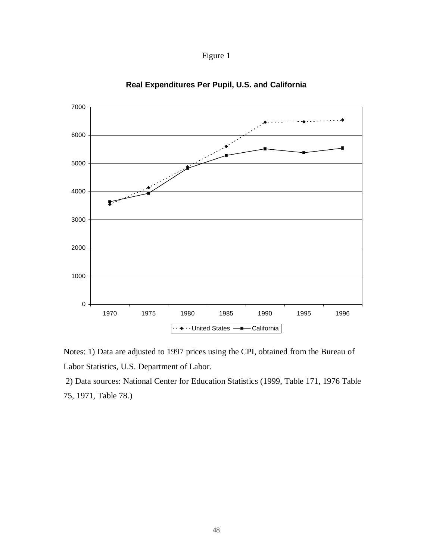



**Real Expenditures Per Pupil, U.S. and California**

Notes: 1) Data are adjusted to 1997 prices using the CPI, obtained from the Bureau of Labor Statistics, U.S. Department of Labor.

2) Data sources: National Center for Education Statistics (1999, Table 171, 1976 Table 75, 1971, Table 78.)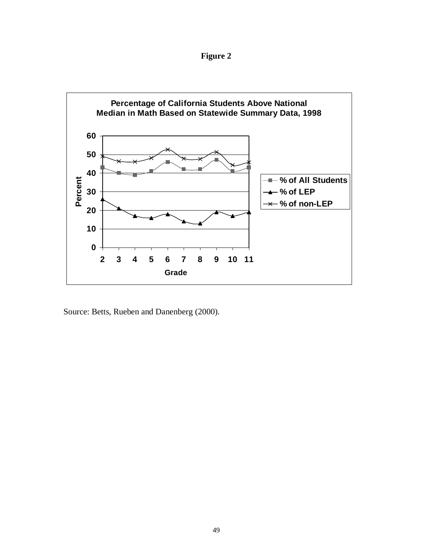**Figure 2**



Source: Betts, Rueben and Danenberg (2000).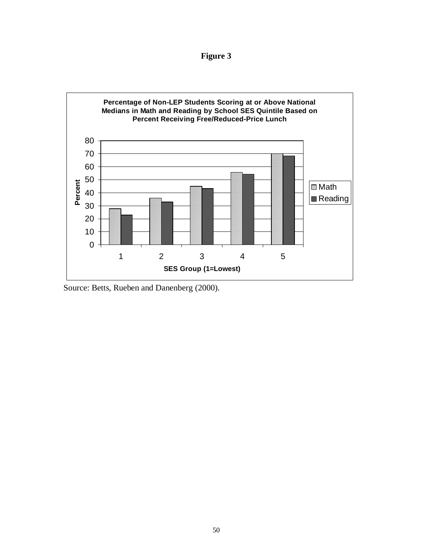**Figure 3**



Source: Betts, Rueben and Danenberg (2000).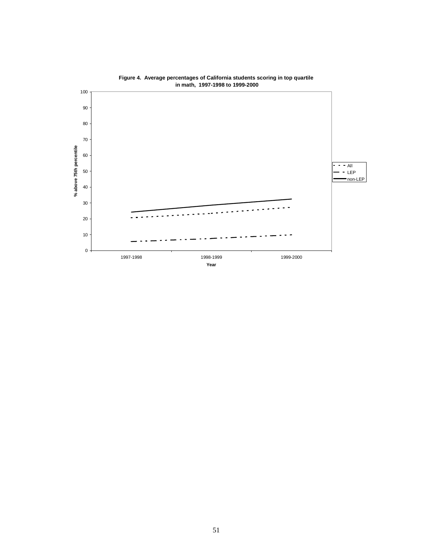

**Figure 4. Average percentages of California students scoring in top quartile in math, 1997-1998 to 1999-2000**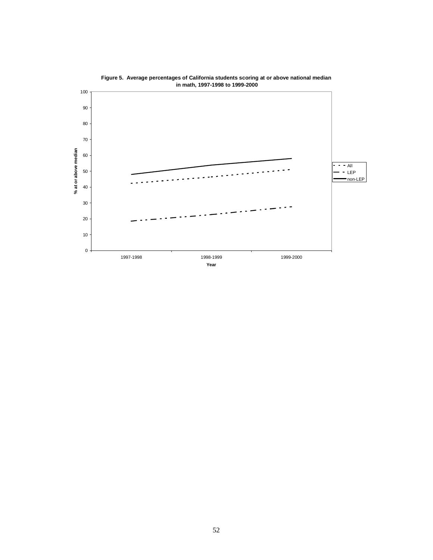

**Figure 5. Average percentages of California students scoring at or above national median in math, 1997-1998 to 1999-2000**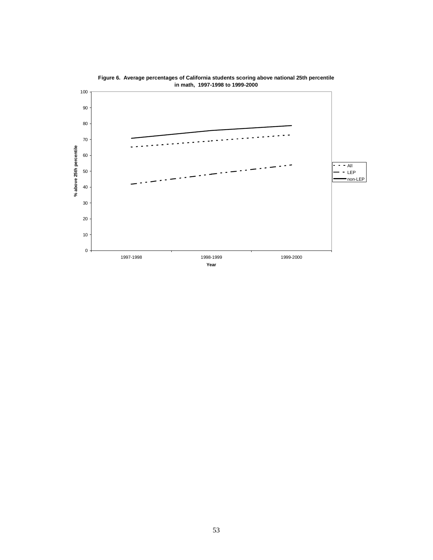

**Figure 6. Average percentages of California students scoring above national 25th percentile in math, 1997-1998 to 1999-2000**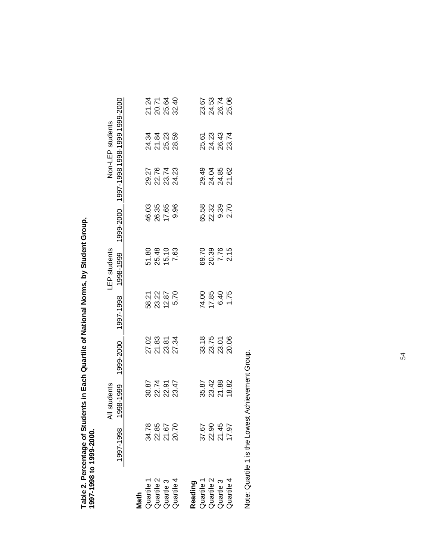Table 2. Percentage of Students in Each Quartile of National Norms, by Student Group,<br>1997-1998 to 1999-2000. Table 2. Percentage of Students in Each Quartile of National Norms, by Student Group, **1997-1998 to 1999-2000.**

|                                                                     |                                  | students                           |                               |                             | LEP students                           |                                  |                                         | Non-LEP students                |                            |
|---------------------------------------------------------------------|----------------------------------|------------------------------------|-------------------------------|-----------------------------|----------------------------------------|----------------------------------|-----------------------------------------|---------------------------------|----------------------------|
|                                                                     | 1997-1998 19                     | 98-1999                            | 1999-2000                     |                             | 1997-1998 1998-1999                    |                                  | 1999-2000 1997-1998 1998-1999 1999-2000 |                                 |                            |
|                                                                     |                                  |                                    |                               |                             |                                        |                                  |                                         |                                 |                            |
|                                                                     |                                  |                                    |                               |                             |                                        |                                  |                                         |                                 |                            |
|                                                                     | 34.78<br>22.85<br>20.70<br>20.70 |                                    |                               |                             |                                        |                                  |                                         |                                 |                            |
|                                                                     |                                  | ន្ទុ<br>ទី ដូ ខ្ញុំ<br>ទី ដូ ដូ ដូ | 2<br>2 នី នី ងី<br>2 ដី នី ងី | ន្ល<br>ន្លង្គ 2<br>ន្លង្គ 2 | 51.80<br>25.48<br>7.63<br>7.63         | 03<br>03 35<br>05 03<br>05 03 04 | 27<br>2774<br>2823<br>2824              | ತ್ತ ತ್ವ ಇ<br>ತ್ವ ಇ ಇ<br>ನ ಸ ಸ ಇ | 21<br>212<br>2123<br>222   |
|                                                                     |                                  |                                    |                               |                             |                                        |                                  |                                         |                                 |                            |
| <b>Math</b><br>Quartile 1<br>Quartile 2<br>Quartile 4<br>Quartile 4 |                                  |                                    |                               |                             |                                        |                                  |                                         |                                 |                            |
|                                                                     |                                  |                                    |                               |                             |                                        |                                  |                                         |                                 |                            |
| Reading<br>Quartile 1<br>Quartile 2<br>Quartile 3<br>Quartile 4     |                                  |                                    |                               |                             |                                        |                                  |                                         |                                 |                            |
|                                                                     | 37.67<br>22.96<br>27.97<br>17.97 | 35 32<br>36 32 36<br>36 36 36      | 33.75<br>33.75<br>32.88       | 212612<br>002021            | 0<br>0 3 7 7 5<br>0 2 7 4<br>0 3 7 9 9 |                                  | 29<br>24 35<br>24 362<br>27 37          | ត្ត<br>ដូង<br>ង៉ូង ដូ           | 67<br>6537<br>2850<br>2852 |
|                                                                     |                                  |                                    |                               |                             |                                        |                                  |                                         |                                 |                            |
|                                                                     |                                  |                                    |                               |                             |                                        |                                  |                                         |                                 |                            |
|                                                                     |                                  |                                    |                               |                             |                                        |                                  |                                         |                                 |                            |

Note: Quartile 1 is the Lowest Achievement Group. Note: Quartile 1 is the Lowest Achievement Group.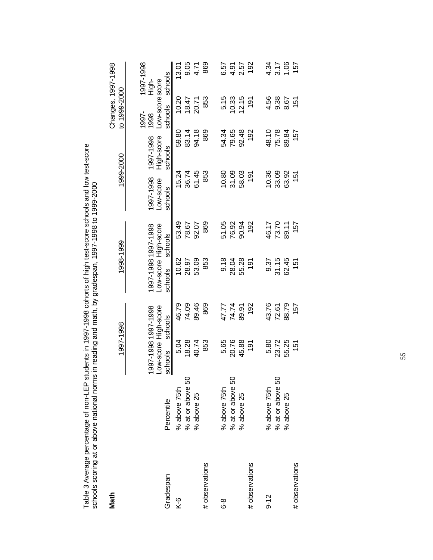|                | ראות האירות המוניק בין המוניק במוניק במוניק בין המוניק במוניק בין המוניק בין המוניק בין המוניק בין המוניק בין המוניק בין המוניק בין המוניק בין המוניק בין המוניק בין המוניק בין המוניק בי |                                                        |         |                                                        |         |                                   |                                    |                                            |                               |
|----------------|-------------------------------------------------------------------------------------------------------------------------------------------------------------------------------------------|--------------------------------------------------------|---------|--------------------------------------------------------|---------|-----------------------------------|------------------------------------|--------------------------------------------|-------------------------------|
| <b>Math</b>    |                                                                                                                                                                                           | 1997-1998                                              |         | 1998-1999                                              |         |                                   | 1999-2000                          | to 1999-2000                               | Changes, 1997-1998            |
| Gradespan      | Percentile                                                                                                                                                                                | Low-score High-score<br>1997-1998 1997-1998<br>schools | schools | Low-score High-score<br>1997-1998 1997-1998<br>schools | schools | 1997-1998<br>-ow-score<br>schools | High-score<br>1997-1998<br>schools | Low-scorescore<br>schools<br>1997-<br>1998 | 1997-1998<br>schools<br>High- |
| $\frac{6}{5}$  | % above 75th                                                                                                                                                                              | 5.04                                                   | 46.79   | 10.62                                                  | 53.49   | 15.24                             | 59.80                              | 10.20                                      | 13.01                         |
|                | % at or above 50                                                                                                                                                                          | 18.28                                                  | 74.09   | 28.97                                                  | 78.67   | 36.74                             | 83.14                              | 18.47                                      |                               |
|                | % above 25                                                                                                                                                                                | 40.74                                                  | 89.46   | 53.09                                                  | 92.07   | 61.45                             | 94.18                              | 20.71                                      | 9.05<br>4.71                  |
| # observations |                                                                                                                                                                                           | 853                                                    | 869     | 853                                                    | 869     | 853                               | 869                                | 853                                        | 869                           |
| გ<br>ბ         | % above 75th                                                                                                                                                                              | 5.65                                                   | 47.77   | 9.18                                                   | 51.05   | 10.80                             | 54.34                              | 5.15                                       | 6.57                          |
|                | % at or above 50                                                                                                                                                                          | 20.76                                                  | 74.74   | 28.04                                                  | 76.92   | 31.09                             | 79.65                              | 10.33                                      | 4.91                          |
|                | % above 25                                                                                                                                                                                | 45.88                                                  | 89.91   | 55.28                                                  | 90.94   | 58.03                             | 92.48                              | 12.15                                      | 2.57                          |
| # observations |                                                                                                                                                                                           | $\frac{5}{2}$                                          | 192     | 191                                                    | 192     | $\frac{5}{2}$                     | 192                                | 191                                        | 192                           |
| $9 - 12$       | % above 75th                                                                                                                                                                              | 5.80                                                   | 43.76   | 9.37                                                   | 46.17   | 10.36                             | 48.10                              | 4.56                                       | 4.34                          |
|                | % at or above 50                                                                                                                                                                          | 23.72                                                  | 72.61   | 31.15                                                  | 73.70   | 33.09                             | 75.78                              | 9.38                                       | $3.17$<br>1.06                |
|                | % above 25                                                                                                                                                                                | 55.25                                                  | 88.79   | 62.45                                                  | 89.11   | 63.92                             | 89.84                              | 8.67                                       |                               |
| # observations |                                                                                                                                                                                           | $\frac{15}{15}$                                        | 157     | 151                                                    | 157     | 151                               | 157                                | 151                                        | 157                           |

Table 3 Average percentage of non-LEP students in 1997-1998 cohorts of high test-score schools and low test-score<br>schools scoring at or above national norms in reading and math, by gradespan, 1997-1998 to 1999-2000 Table 3 Average percentage of non-LEP students in 1997-1998 cohorts of high test-score schools and low test-score schools scoring at or above national norms in reading and math, by gradespan, 1997-1998 to 1999-2000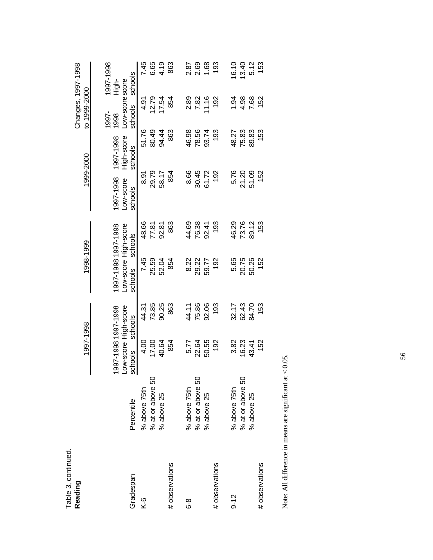| Reading           |                                | 1997-1998                                              |                | 1998-1999                                              |                |                                   | 1999-2000                          | to 1999-2000                               | Changes, 1997-1998            |              |
|-------------------|--------------------------------|--------------------------------------------------------|----------------|--------------------------------------------------------|----------------|-----------------------------------|------------------------------------|--------------------------------------------|-------------------------------|--------------|
| Gradespan         | Percentile                     | Low-score High-score<br>1997-1998 1997-1998<br>schools | schools        | Low-score High-score<br>1997-1998 1997-1998<br>schools | schools        | 1997-1998<br>-ow-score<br>schools | High-score<br>1997-1998<br>schools | Low-scorescore<br>schools<br>1997-<br>1998 | 1997-1998<br>schools<br>High- |              |
| $\overline{K}$ -6 | % above 75th                   | 4.00                                                   | 44.31          | 7.45                                                   | 48.66          | 8.91                              | 51.76                              | 4.91                                       |                               | 7.45         |
|                   | % at or above 50<br>% above 25 | 17.00<br>40.64                                         | 73.85<br>90.25 | 25.59<br>52.04                                         | 77.81<br>92.81 | 29.79<br>58.17                    | 80.49<br>94.44                     | 12.79<br>17.54                             |                               | 6.65<br>4.19 |
| # observations    |                                | 854                                                    | 863            | 854                                                    | 863            | 854                               | 863                                | 854                                        |                               | 863          |
| გ<br>ბ            | % above 75th                   | 5.77                                                   | 44.11          | 8.22                                                   | 44.69          | 8.66                              | 46.98                              | 2.89                                       |                               | 2.87         |
|                   | % at or above 50               | 22.64                                                  | 75.86          | 29.22                                                  | 76.38          | 30.45                             | 78.56                              | 7.82                                       |                               | 2.69         |
|                   | % above 25                     | 50.55                                                  | 92.06          | 59.77                                                  | 92.41          | 61.72                             | 93.74                              | 11.16                                      |                               | 1.68         |
| # observations    |                                | 192                                                    | 193            | 192                                                    | 193            | 192                               | 193                                | 192                                        |                               | 193          |
| $9 - 12$          | % above 75th                   | 3.82                                                   | 32.17          | 5.65                                                   | 46.29          | 5.76                              | 48.27                              | 1.94                                       |                               | 16.10        |
|                   | % at or above 50               | 16.23                                                  | 62.43          | 20.75                                                  | 73.76          | 21.20                             | 75.83                              | 4.98                                       |                               | 13.40        |
|                   | % above 25                     | 43.41                                                  | 84.70          | 50.26                                                  | 89.12          | 51.09                             | 89.83                              | 7.68                                       |                               | 5.12         |
| # observations    |                                | 152                                                    | 153            | 152                                                    | 153            | 152                               | 153                                | 152                                        |                               | 153          |
|                   |                                |                                                        |                |                                                        |                |                                   |                                    |                                            |                               |              |

Table 3, continued.

Table 3, continued.

Note: All difference in means are significant at  $< 0.05$ . Note: All difference in means are significant at < 0.05.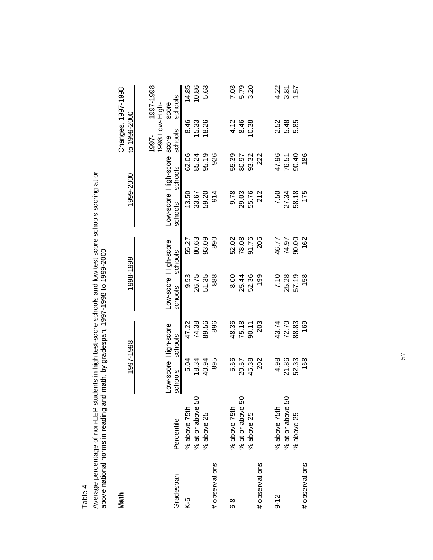Average percentage of non-LEP students in high test-score schools and low test score schools scoring at or<br>above national norms in reading and math, by gradespan, 1997-1998 to 1999-2000 Average percentage of non-LEP students in high test-score schools and low test score schools scoring at or above national norms in reading and math, by gradespan, 1997-1998 to 1999-2000

| Math                      |                  | 1997-1998                       |         | 1998-1999                       |         | 1999-2000                             |         | Changes, 1997-1998<br>to 1999-2000 |                  |
|---------------------------|------------------|---------------------------------|---------|---------------------------------|---------|---------------------------------------|---------|------------------------------------|------------------|
|                           |                  |                                 |         |                                 |         |                                       |         | 1998 Low-High-<br>1997-            | 1997-1998        |
| Gradespan                 | Percentile       | Low-score High-score<br>schools | schools | Low-score High-score<br>schools | schools | Low-score High-score score<br>schools | schools | schools                            | schools<br>score |
| $\overline{\overline{X}}$ | % above 75th     | 5.04                            | 47.22   | 9.53                            | 55.27   | 13.50                                 | 62.06   | 8.46                               | 14.85            |
|                           | % at or above 50 | 18.34                           | 74.38   | 26.75                           | 80.63   | 33.67                                 | 85.24   | 15.33                              | 10.86            |
|                           | % above 25       | 40.94                           | 89.56   | 51.35                           | 93.09   | 59.20                                 | 95.19   | 18.26                              | 5.63             |
| # observations            |                  | 895                             | 896     | 888                             | 890     | 914                                   | 926     |                                    |                  |
| တ်<br>ထ                   | % above 75th     | 5.66                            | 48.36   | 8.00                            | 52.02   | 9.78                                  | 55.39   | 4.12                               |                  |
|                           | % at or above 50 | 20.57                           | 75.18   | 25.44                           | 78.08   | 29.03                                 | 80.97   | 8.46                               | 7.03<br>5.79     |
|                           | % above 25       | 45.38                           | 90.11   | 52.36                           | 91.76   | 55.76                                 | 93.32   | 10.38                              | 3.20             |
| # observations            |                  | 202                             | 203     | 199                             | 205     | 212                                   | 222     |                                    |                  |
| $9 - 12$                  | % above 75th     | 4.98                            | 43.74   | 7.10                            | 46.77   | 7.50                                  | 47.96   | 2.52                               | 4.22             |
|                           | % at or above 50 | 21.86                           | 72.70   | 25.28                           | 74.97   | 27.34                                 | 76.51   | 5.48                               | 3.81             |
|                           | % above 25       | 52.33                           | 88.83   | 57.19                           | 90.00   | 58.18                                 | 90.40   | 5.85                               | 1.57             |
| # observations            |                  | 168                             | 169     | 158                             | 162     | 175                                   | 186     |                                    |                  |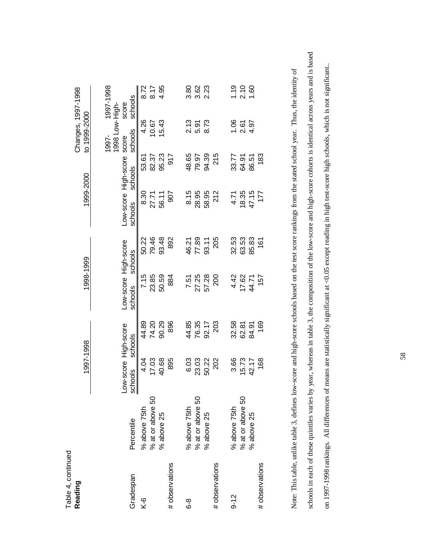| Reading                      |                                                | 1997-1998                       |                         | 1998-1999                       |                         | 1999-2000                             |                         | to 1999-2000                       | Changes, 1997-1998            |
|------------------------------|------------------------------------------------|---------------------------------|-------------------------|---------------------------------|-------------------------|---------------------------------------|-------------------------|------------------------------------|-------------------------------|
| Gradespan                    | Percentile                                     | Low-score High-score<br>schools | schools                 | Low-score High-score<br>schools | schools                 | Low-score High-score score<br>schools | schools                 | 1998 Low-High-<br>schools<br>1997- | 1997-1998<br>schools<br>score |
| $\overline{\overline{X}}$ -6 | % at or above 50<br>% above 25<br>% above 75th | 17.03<br>4.04                   | 44.89<br>74.20          | 7.15<br>23.85                   | 79.46<br>50.22          | 8.30<br>27.71<br>56.11                | 82.37<br>53.61          | 4.26<br>10.67                      | 8.72<br>8.17                  |
| # observations               |                                                | 40.68<br>895                    | 896<br>90.29            | 50.59<br>884                    | 93.48<br>892            | 907                                   | 95.23<br><b>215</b>     | 15.43                              | 4.95                          |
| გ<br>ბ                       | % at or above 50<br>% above 75th<br>% above 25 | 6.03<br>23.03<br>50.22          | 44.85<br>76.35<br>92.17 | 57.28<br>27.25<br>7.51          | 46.21<br>77.89<br>93.11 | 8.15<br>28.95<br>58.95                | 48.65<br>94.39<br>79.97 | 2.13<br>5.91<br>8.73               |                               |
| # observations               |                                                | 202                             | 203                     | 200                             | 205                     | 212                                   | 215                     |                                    |                               |
| $9 - 12$                     | % above 75th                                   | 3.66<br>15.73                   | 32.58<br>62.81          | 4.42<br>17.62                   | 32.53<br>63.53          | 18.35<br>4.71                         | 33.77<br>64.91          | 1.06                               | 1.19<br>2.10                  |
| # observations               | % at or above 50<br>% above 25                 | 168<br>42.17                    | 169<br>84.91            | 157<br>44.71                    | 85.83<br>161            | 47.15<br>177                          | 183<br>86.51            | $2.67$<br>4.97                     | 1.60                          |
|                              |                                                |                                 |                         |                                 |                         |                                       |                         |                                    |                               |

schools in each of these quintiles varies by year, whereas in table 3, the composition of the low-score and high-score cohorts is identical across years and is based schools in each of these quintiles varies by year, whereas in table 3, the composition of the low-score and high-score cohorts is identical across years and is based on 1997-1998 rankings. All differences of means are statistically significant at <0.05 except reading in high test-score high schools, which is not significant. on 1997-1998 rankings. All differences of means are statistically significant at <0.05 except reading in high test-score high schools, which is not significant..Note: This table, unlike table 3, defines low-score and high-score schools based on the test score rankings from the stated school year. Thus, the identity of Note: This table, unlike table 3, defines low-score and high-score schools based on the test score rankings from the stated school year. Thus, the identity of

58

Table 4, continued Table 4, continued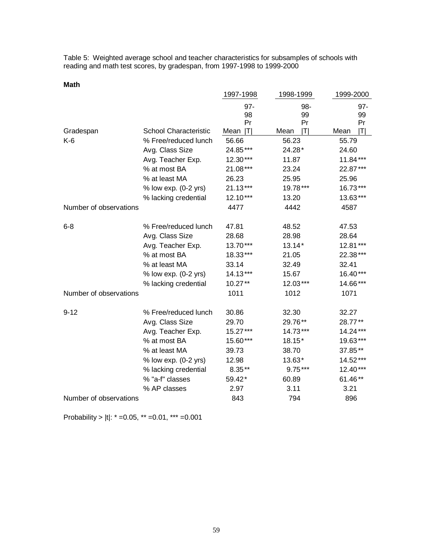Table 5: Weighted average school and teacher characteristics for subsamples of schools with reading and math test scores, by gradespan, from 1997-1998 to 1999-2000

| . .<br>$\sim$<br>× |
|--------------------|
|--------------------|

|                        |                              | 1997-1998       | 1998-1999       | 1999-2000       |
|------------------------|------------------------------|-----------------|-----------------|-----------------|
|                        |                              | 97-<br>98<br>Pr | 98-<br>99<br>Pr | 97-<br>99<br>Pr |
| Gradespan              | <b>School Characteristic</b> | Mean<br>ITI     | Mean<br>ITI     | IΤI<br>Mean     |
| $K-6$                  | % Free/reduced lunch         | 56.66           | 56.23           | 55.79           |
|                        | Avg. Class Size              | 24.85***        | 24.28*          | 24.60           |
|                        | Avg. Teacher Exp.            | 12.30***        | 11.87           | 11.84***        |
|                        | % at most BA                 | 21.08***        | 23.24           | 22.87***        |
|                        | % at least MA                | 26.23           | 25.95           | 25.96           |
|                        | % low exp. (0-2 yrs)         | $21.13***$      | 19.78***        | 16.73***        |
|                        | % lacking credential         | 12.10***        | 13.20           | 13.63***        |
| Number of observations |                              | 4477            | 4442            | 4587            |
| $6 - 8$                | % Free/reduced lunch         | 47.81           | 48.52           | 47.53           |
|                        | Avg. Class Size              | 28.68           | 28.98           | 28.64           |
|                        | Avg. Teacher Exp.            | 13.70***        | $13.14*$        | 12.81***        |
|                        | % at most BA                 | 18.33***        | 21.05           | 22.38***        |
|                        | % at least MA                | 33.14           | 32.49           | 32.41           |
|                        | % low exp. (0-2 yrs)         | 14.13***        | 15.67           | 16.40***        |
|                        | % lacking credential         | 10.27**         | 12.03***        | 14.66***        |
| Number of observations |                              | 1011            | 1012            | 1071            |
| $9 - 12$               | % Free/reduced lunch         | 30.86           | 32.30           | 32.27           |
|                        | Avg. Class Size              | 29.70           | 29.76**         | 28.77**         |
|                        | Avg. Teacher Exp.            | 15.27***        | 14.73***        | 14.24***        |
|                        | % at most BA                 | 15.60***        | 18.15*          | 19.63***        |
|                        | % at least MA                | 39.73           | 38.70           | 37.85**         |
|                        | % low exp. (0-2 yrs)         | 12.98           | 13.63*          | 14.52***        |
|                        | % lacking credential         | $8.35**$        | $9.75***$       | 12.40***        |
|                        | % "a-f" classes              | 59.42*          | 60.89           | 61.46**         |
|                        | % AP classes                 | 2.97            | 3.11            | 3.21            |
| Number of observations |                              | 843             | 794             | 896             |

Probability > |t|: \* =0.05, \*\* =0.01, \*\*\* =0.001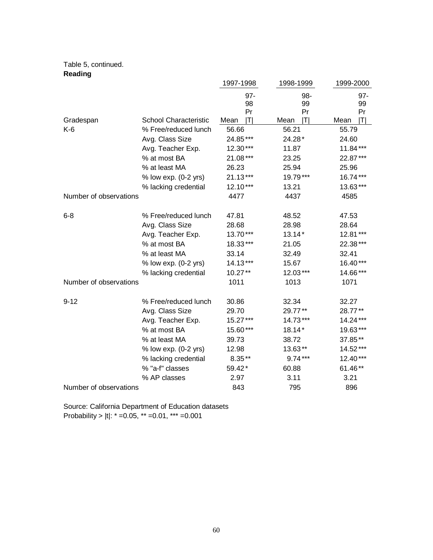#### Table 5, continued. **Reading**

| 112441119              |                       |             |             |                        |
|------------------------|-----------------------|-------------|-------------|------------------------|
|                        |                       | 1997-1998   | 1998-1999   | 1999-2000              |
|                        |                       | 97-         | 98-         | $97 -$                 |
|                        |                       | 98          | 99          | 99                     |
|                        |                       | Pr          | Pr          | Pr                     |
| Gradespan              | School Characteristic | ΙTΙ<br>Mean | IΤI<br>Mean | $ \mathsf{T} $<br>Mean |
| $K-6$                  | % Free/reduced lunch  | 56.66       | 56.21       | 55.79                  |
|                        | Avg. Class Size       | 24.85***    | 24.28*      | 24.60                  |
|                        | Avg. Teacher Exp.     | 12.30***    | 11.87       | 11.84***               |
|                        | % at most BA          | 21.08***    | 23.25       | 22.87***               |
|                        | % at least MA         | 26.23       | 25.94       | 25.96                  |
|                        | % low exp. (0-2 yrs)  | 21.13***    | 19.79***    | 16.74***               |
|                        | % lacking credential  | 12.10***    | 13.21       | 13.63***               |
| Number of observations |                       | 4477        | 4437        | 4585                   |
| $6 - 8$                | % Free/reduced lunch  | 47.81       | 48.52       | 47.53                  |
|                        | Avg. Class Size       | 28.68       | 28.98       | 28.64                  |
|                        | Avg. Teacher Exp.     | 13.70***    | $13.14*$    | 12.81***               |
|                        | % at most BA          | 18.33***    | 21.05       | 22.38***               |
|                        | % at least MA         | 33.14       | 32.49       | 32.41                  |
|                        | % low exp. (0-2 yrs)  | 14.13***    | 15.67       | 16.40***               |
|                        | % lacking credential  | $10.27**$   | 12.03***    | 14.66***               |
| Number of observations |                       | 1011        | 1013        | 1071                   |
| $9 - 12$               | % Free/reduced lunch  | 30.86       | 32.34       | 32.27                  |
|                        | Avg. Class Size       | 29.70       | 29.77**     | 28.77**                |
|                        | Avg. Teacher Exp.     | 15.27***    | 14.73***    | 14.24***               |
|                        | % at most BA          | 15.60***    | 18.14*      | 19.63***               |
|                        | % at least MA         | 39.73       | 38.72       | 37.85**                |
|                        | % low exp. (0-2 yrs)  | 12.98       | 13.63**     | 14.52***               |
|                        | % lacking credential  | $8.35**$    | $9.74***$   | 12.40***               |
|                        | % "a-f" classes       | 59.42*      | 60.88       | 61.46**                |
|                        | % AP classes          | 2.97        | 3.11        | 3.21                   |
| Number of observations |                       | 843         | 795         | 896                    |

Source: California Department of Education datasets Probability >  $|t|$ :  $* = 0.05$ ,  $** = 0.01$ ,  $** = 0.001$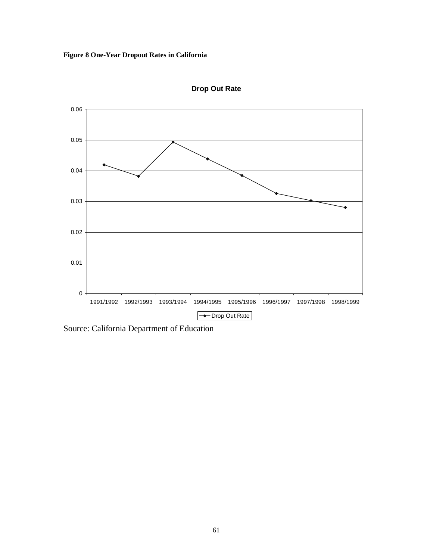### **Figure 8 One-Year Dropout Rates in California**



**Drop Out Rate**

Source: California Department of Education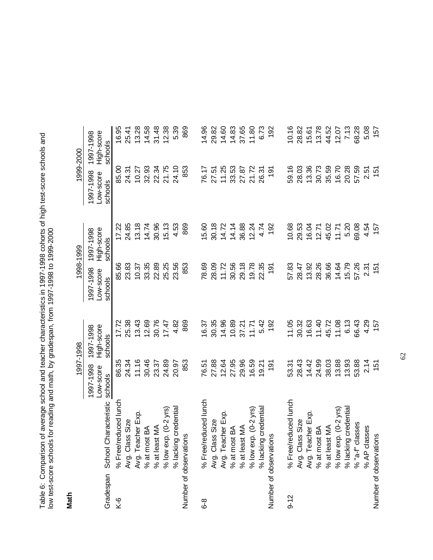Table 6: Comparison of average school and teacher characteristics in 1997-1998 cohorts of high test-score schools and<br>low test-score schools for reading and math, by gradespan, from 1997-1998 to 1999-2000 Table 6: Comparison of average school and teacher characteristics in 1997-1998 cohorts of high test-score schools and low test-score schools for reading and math, by gradespan, from 1997-1998 to 1999-2000

**Math**

|           |                               | 1997-1998              |                         | 1998-1999              |                         | 1999-2000              |                         |
|-----------|-------------------------------|------------------------|-------------------------|------------------------|-------------------------|------------------------|-------------------------|
|           |                               | 1997-1998<br>Low-score | High-score<br>1997-1998 | 1997-1998<br>Low-score | High-score<br>1997-1998 | 1997-1998<br>Low-score | High-score<br>1997-1998 |
| Gradespan | School Characteristic         | schools                | schools                 | schools                | schools                 | schools                | schools                 |
| $K-6$     | % Free/reduced lunch          | 86.35                  | 17.72                   | 85.66                  | 17.22                   | 85.00                  | 16.95                   |
|           | Avg. Class Size               | 24.34                  | 25.38                   | 23.83                  | 24.85                   | 24.31                  | 25.41                   |
|           | Avg. Teacher Exp.             | 11.16                  | 13.43                   | 10.37                  | 13.18                   | 10.27                  | 13.28                   |
|           |                               | 30.46                  | 12.69                   | 33.35                  | 14.74                   | 32.93                  | 14.58                   |
|           | % at most BA<br>% at least MA | 23.37                  | 30.76                   | 22.89                  | 30.96                   | 22.34                  | 31.48                   |
|           | $%$ low exp. $(0-2$ yrs       | 24.89                  | 17.47                   | 25.25                  | 15.13                   | 21.75                  | 12.38                   |
|           | credentia<br>% lacking        | 20.97                  | 4.82                    | 23.56                  | 4.53                    | 24.10                  | 5.39                    |
|           | Number of observations        | 853                    | 869                     | 853                    | 869                     | 853                    | 869                     |
| $6-8$     | % Free/reduced lunch          | 76.51                  | 16.37                   | 78.69                  | 15.60                   | 76.17                  | 14.96                   |
|           | Avg. Class Size               | 27.88                  | 30.35                   | 28.09                  | 30.18                   | 27.51                  | 29.82                   |
|           | Avg. Teacher Exp              | 12.64                  | 14.96                   | 11.72                  | 14.72                   | 11.25                  | 14.60                   |
|           | Á<br>% at most                | 27.95                  | 10.89                   | 30.56                  | 14.14                   | 33.53                  | 14.83                   |
|           | % at least MA                 | 29.96                  | 37.21                   | 29.18                  | 36.88                   | 27.87                  | 37.65                   |
|           | $%$ low exp. $(0-2$ yrs)      | 16.59                  | 11.71                   | 19.78                  | 12.24                   | 21.72                  | 11.80                   |
|           | credentia<br>% lacking        | 19.21                  | 5.42                    | 22.35                  | 4.74                    | 26.31                  | 6.73                    |
|           | s<br>Number of observation    | $\frac{1}{9}$          | 192                     | 191                    | 192                     | $\frac{1}{9}$          | 192                     |
| $9 - 12$  | % Free/reduced lunch          | 53.31                  | 11.05                   | 57.83                  | 10.68                   | 59.16                  | 10.16                   |
|           | Avg. Class Size               | 28.43                  | 30.32                   | 28.47                  | 29.53                   | 28.03                  | 28.82                   |
|           | Avg. Teacher Exp.             | 14.42                  | 16.63                   | 13.92                  | 16.04                   | 13.36                  | 15.61                   |
|           | а<br>% at most                | 24.99                  | 11.40                   | 28.26                  | 12.71                   | 30.73                  | 13.78                   |
|           | $\leq$<br>% at least          | 38.03                  | 45.72                   | 36.66                  | 45.02                   | 35.59                  | 44.52                   |
|           | $%$ low exp. $(0-2)$ yrs      | 13.88                  | 11.08                   | 14.64                  | 11.71                   | 16.70                  | 12.07                   |
|           | credentia<br>% lacking        | 13.93                  | 6.13                    | 15.79                  | 5.20                    | 20.28                  | 7.13                    |
|           | % "a-f" classes               | 53.88                  | 66.43                   | 57.26                  | 69.08                   | 57.59                  | 68.28                   |
|           | % AP classes                  | 2.14                   | 4.29                    | 2.31                   | 4.54                    | 2.51                   | 5.08                    |
|           | Number of observations        | 151                    | 157                     | 151                    | 157                     | 151                    | 157                     |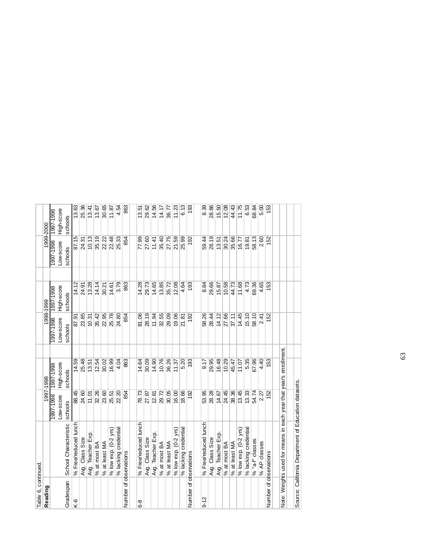| Table 6, continued.    |                                                                   |                        |                         |                        |                         |                        |                         |
|------------------------|-------------------------------------------------------------------|------------------------|-------------------------|------------------------|-------------------------|------------------------|-------------------------|
| Reading                |                                                                   |                        | 1997-1998               |                        | 1998-1999               |                        | 1999-2000               |
|                        |                                                                   | 8661-2661<br>Low-score | High-score<br>8661-2661 | Low-score<br>1997-1998 | High-score<br>8661-2661 | 1997-1998<br>Low-score | High-score<br>1997-7998 |
| Gradespan              | School Characteristic                                             | schools                | schools                 | schools                | schools                 | schools                | schools                 |
| $K-6$                  | % Free/reduced lunch                                              | 88.45                  | 14.59                   | 87.91                  | 14.12                   | 87.15                  | 13.63                   |
|                        | Avg. Class Size                                                   | 24.60                  | 25.48                   | 23.85                  | 24.91                   | 24.31                  | 25.36                   |
|                        | Avg. Teacher Exp.                                                 | 11.01                  | 13.51                   | 10.31                  | 13.28                   | 10.13                  | 13.41                   |
|                        | % at most BA                                                      | 32.26                  | 12.54                   | 35.42                  | 14.14                   | 35.19                  | 13.67                   |
|                        | % at least MA                                                     | 23.60                  | 30.02                   | 22.95                  | 30.21                   | 22.22                  | 30.65                   |
|                        | $%$ low exp. $(0-2$ yrs)                                          | 25.51                  | 16.99                   | 25.78                  | 14.61                   | 22.48                  | 11.87                   |
|                        | % lacking credential                                              | 22.20                  | 4.04                    | 24.80                  | 3.79                    | 25.33                  | 4.54                    |
| Number of observations |                                                                   | 854                    | 863                     | 854                    | 863                     | 854                    | 863                     |
|                        |                                                                   |                        |                         |                        |                         |                        |                         |
| 6-8                    | % Free/reduced lunch                                              | 78.73                  | 14.64                   | 81.06                  | 14.28                   | 77.99                  | 13.51                   |
|                        | Avg. Class Size                                                   | 27.87                  | 30.09                   | 28.19                  | 29.73                   | 27.60                  | 29.62                   |
|                        | Avg. Teacher Exp.                                                 | 12.81                  | 14.90                   | 11.94                  | 14.65                   | 11.41                  | 14.56                   |
|                        | % at most BA                                                      | 29.72                  | 10.76                   | 32.55                  | 13.85                   | 35.40                  | 14.17                   |
|                        | % at least MA                                                     | 30.05                  | 36.26                   | 29.09                  | 35.72                   | 27.75                  | 36.77                   |
|                        | $%$ low exp. $(0-2$ yrs)                                          | 16.00                  | 11.37                   | 19.06                  | 12.08                   | 21.59                  | 11.23                   |
|                        | % lacking credential                                              | 18.66                  | 5.20                    | 21.81                  | 4.64                    | 25.99                  | 6.13                    |
| Number of observations |                                                                   | 192                    | 193                     | 192                    | 193                     | 192                    | $\frac{6}{2}$           |
|                        |                                                                   |                        |                         |                        |                         |                        |                         |
| $9 - 12$               | % Free/reduced lunch                                              | 53.95                  | 9.17                    | 58.26                  | 8.84                    | 59.44                  | ೫.<br>ಹಿ                |
|                        | Avg. Class Size                                                   | 28.28                  | 29.95                   | 28.44                  | 29.66                   | 28.19                  | 28.86                   |
|                        | Avg. Teacher Exp.                                                 | 14.67                  | 16.48                   | 14.12                  | 15.87                   | 13.51                  | 15.50                   |
|                        | % at most BA                                                      | 24.45                  | 10.29                   | 27.66                  | 10.58                   | 30.24                  | 12.08                   |
|                        | % at least MA                                                     | 38.36                  | 45.47                   | 37.11                  | 44.73                   | 35.66                  | 44.43                   |
|                        | $%$ low exp. $(0-2$ yrs)                                          | 13.45                  | 11.07                   | 14.45                  | 11.68                   | $\frac{7}{16.77}$      | 11.75                   |
|                        | % lacking credential                                              | 13.33                  | 5.35                    | 15.10                  | 4.73                    | 19.81                  | 6.53                    |
|                        | % "a-f" classes                                                   | 54.74                  | 67.96                   | 58.10                  | 69.36                   | 58.13                  | 68.84                   |
|                        | % AP classes                                                      | 2.27                   | 4.40                    | 2.41                   | 4.65                    | 2.60                   | 5.00                    |
| Number of observations |                                                                   | 152                    | 153                     | 152                    | 153                     | 152                    | $\frac{53}{2}$          |
|                        |                                                                   |                        |                         |                        |                         |                        |                         |
|                        | Note: Weights used for means in each year that year's enrollment. |                        |                         |                        |                         |                        |                         |
|                        |                                                                   |                        |                         |                        |                         |                        |                         |
|                        | Source: California Department of Education datasets.              |                        |                         |                        |                         |                        |                         |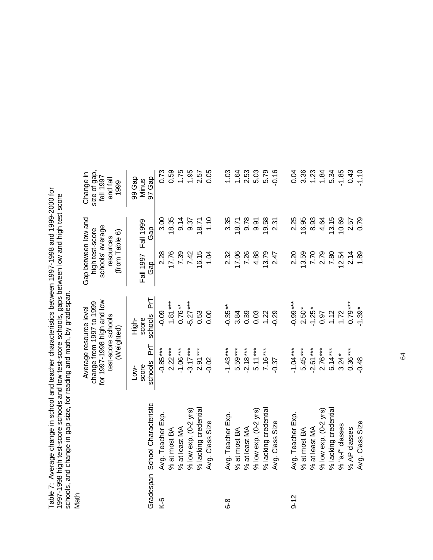Table 7: Average change in school and teacher characteristics between 1997-1998 and 1999-2000 for 1997-1998 high test-score schools and low test-score schools, gaps between low and high test score schools, and change in gap size, for reading and math, by gradespan. Table 7: Average change in school and teacher characteristics between 1997-1998 and 1999-2000 for<br>1997-1998 high test-score schools and low test-score schools, gaps between low and high test score<br>schools, and change in ga

| lingin<br>N |                          |                                                                                                                      |                                  |                                                                                           |                  |                                                           |
|-------------|--------------------------|----------------------------------------------------------------------------------------------------------------------|----------------------------------|-------------------------------------------------------------------------------------------|------------------|-----------------------------------------------------------|
|             |                          | for 1997-1998 high and low<br>change from 1997 to 1999<br>Average resource level<br>test-score schools<br>(Weighted) |                                  | Gap between low and<br>schools' average<br>high test-score<br>(from Table 6)<br>resources |                  | size of gap,<br>Change in<br>fall 1997<br>and fal<br>1999 |
| Gradespan   | School Characteristic    | ΡĻ<br>schools<br>score<br>Low-                                                                                       | Ρ'n<br>schools<br>score<br>High- | Fall 1997<br>Gap                                                                          | Fall 1999<br>Gap | 97 Gap<br>99 Gap<br>Minus                                 |
| Κ-6         | Avg. Teacher Exp.        | $-0.85***$                                                                                                           | $-0.09$                          | 2.28                                                                                      | 3.00             | 0.73                                                      |
|             | % at most BA             | $2.22***$                                                                                                            | $1.81***$                        | 17.76                                                                                     | 18.35            | 0.59                                                      |
|             | % at least MA            | $-1.06***$                                                                                                           | $0.76***$                        | 7.39                                                                                      | 9.14             | 1.75                                                      |
|             | $%$ low exp. $(0-2$ yrs) | $-3.17***$                                                                                                           | $-5.27***$                       | 7.42                                                                                      | 9.37             | 1.95                                                      |
|             | % lacking credential     | $2.91***$                                                                                                            | 0.53                             | 16.15                                                                                     | 18.71            | 2.57                                                      |
|             | Avg. Class Size          | $-0.02$                                                                                                              | 0.00                             | 1.04                                                                                      | 1.10             | 0.05                                                      |
| გ<br>ბ      | Avg. Teacher Exp.        | $-1.43***$                                                                                                           | $-0.35**$                        | 2.32                                                                                      | 3.35             | 1.03                                                      |
|             | % at most BA             | 5.59***                                                                                                              | 3.84                             | 17.06                                                                                     | 18.71            | 1.64                                                      |
|             | % at least MA            | $-2.18***$                                                                                                           | 0.39                             | 7.26                                                                                      | 9.78             | 2.53                                                      |
|             | $%$ low exp. $(0-2$ yrs) | $5.11***$                                                                                                            | 0.03                             | 4.88                                                                                      | 9.91             | 5.03                                                      |
|             | % lacking credential     | $7.16***$                                                                                                            | 1.22                             | 13.79                                                                                     | 19.58            | 5.79                                                      |
|             | Avg. Class Size          | $-0.37$                                                                                                              | $-0.29$                          | 2.47                                                                                      | 2.31             | $-0.16$                                                   |
| $9 - 12$    | Avg. Teacher Exp.        | $-1.04***$                                                                                                           | $-0.99***$                       | 2.20                                                                                      | 2.25             | 0.04                                                      |
|             | % at most BA             | $5.45***$                                                                                                            | $2.50*$                          | 13.59                                                                                     | 16.95            | 3.36                                                      |
|             | % at least MA            | $-2.61***$                                                                                                           | $-1.25*$                         | 7.70                                                                                      | 8.93             | 1.23                                                      |
|             | $%$ low exp. $(0-2$ yrs) | $2.76***$                                                                                                            | 0.97                             | 2.79                                                                                      | 4.64             | 1.84                                                      |
|             | % lacking credential     | $6.14***$                                                                                                            | 1.12                             | 7.80                                                                                      | 13.15            | 5.34                                                      |
|             | % "a-f" classes          | $3.24*$                                                                                                              | 1.72                             | 12.54                                                                                     | 10.69            | $-1.85$                                                   |
|             | % AP classes             | $0.36***$                                                                                                            | $0.79***$                        | 2.14                                                                                      | 2.57             | 0.43                                                      |
|             | Avg. Class Size          | $-0.48$                                                                                                              | $-1.39*$                         | 1.89                                                                                      | 0.79             | $-1.10$                                                   |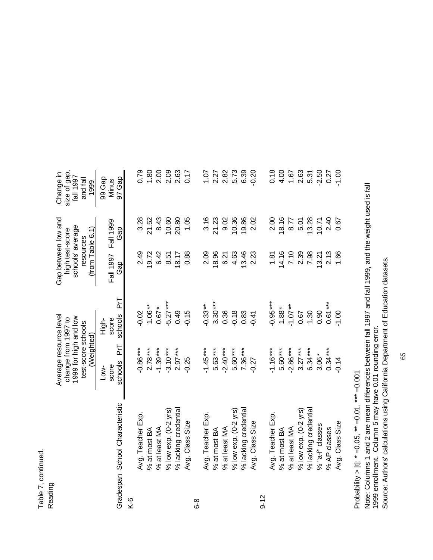| Ŗ      |   |
|--------|---|
|        |   |
|        | ⌒ |
| ≏<br>π |   |

|          |                                 | Average resource level<br>1999 for high and low<br>change from 1997 to<br>test-score schools<br>(Weighted) |                | Gap between low and<br>schools' average<br>$(1$ rom Table 6.1)<br>high test-score<br>resources |           | size of gap,<br>Change in<br>fall 1997<br>and fall<br>1999 |
|----------|---------------------------------|------------------------------------------------------------------------------------------------------------|----------------|------------------------------------------------------------------------------------------------|-----------|------------------------------------------------------------|
|          |                                 | score<br>Low-                                                                                              | score<br>High- | Fall 1997                                                                                      | Fall 1999 | 99 Gap<br>Minus                                            |
|          | Gradespan School Characteristic | ΡrΤ<br>schools                                                                                             | ΡrΤ<br>schools | Gap                                                                                            | Gap       | 97 Gap                                                     |
| Κ-6      |                                 |                                                                                                            |                |                                                                                                |           |                                                            |
|          | Avg. Teacher Exp.               | $-0.86***$                                                                                                 | $-0.02$        | 2.49                                                                                           | 3.28      | 0.79                                                       |
|          | % at most $BA$                  | $2.78***$                                                                                                  | $1.06***$      | 19.72                                                                                          | 21.52     | 1.80                                                       |
|          | % at least MA                   | $-1.39***$                                                                                                 | $0.67*$        | 6.42                                                                                           | 8.43      | 2.00                                                       |
|          | $%$ low exp. $(0-2$ yrs)        | $-3.10***$                                                                                                 | $-5.27***$     | 8.51                                                                                           | 10.60     | 2.09                                                       |
|          | % lacking credential            | $2.97***$                                                                                                  | 0.49           | 18.17                                                                                          | 20.80     | 2.63                                                       |
|          | Avg. Class Size                 | $-0.25$                                                                                                    | $-0.15$        | 0.88                                                                                           | 1.05      | 0.17                                                       |
| გ<br>ბ   |                                 |                                                                                                            |                |                                                                                                |           |                                                            |
|          | Avg. Teacher Exp.               | $-1.45***$                                                                                                 | $-0.33**$      | 2.09                                                                                           | 3.16      | 1.07                                                       |
|          | % at most BA                    | $5.63***$                                                                                                  | $3.30***$      | 18.96                                                                                          | 21.23     | 2.27                                                       |
|          | % at least MA                   | $-2.40***$                                                                                                 | 0.36           | 6.21                                                                                           | 9.02      | 2.82                                                       |
|          | $%$ low exp. $(0-2$ yrs)        | 5.60***                                                                                                    | $-0.18$        | 4.63                                                                                           | 10.36     | 5.73                                                       |
|          | % lacking credential            | $7.36***$                                                                                                  | 0.83           | 13.46                                                                                          | 19.86     | 6.39                                                       |
|          | Avg. Class Size                 | $-0.27$                                                                                                    | $-0.41$        | 2.23                                                                                           | 2.02      | $-0.20$                                                    |
| $9 - 12$ |                                 |                                                                                                            |                |                                                                                                |           |                                                            |
|          | Avg. Teacher Exp.               | $-1.16***$                                                                                                 | $-0.95***$     | 1.81                                                                                           | 2.00      | 0.18                                                       |
|          | % at most BA                    | 5.60***                                                                                                    | $1.88*$        | 14.16                                                                                          | 18.16     | 4.00                                                       |
|          | % at least MA                   | $-2.86***$                                                                                                 | $-1.07**$      | 7.10                                                                                           | 8.77      | 1.67                                                       |
|          | $%$ low exp. (0-2 yrs)          | $3.27***$                                                                                                  | 0.67           | 2.39                                                                                           | 5.01      | 2.63                                                       |
|          | % lacking credential            | $6.34***$                                                                                                  | 1.30           | 7.98                                                                                           | 13.28     | 5.31                                                       |
|          | % "a-f" classes                 | $3.06*$                                                                                                    | 0.90           | 13.21                                                                                          | 10.71     | $-2.50$                                                    |
|          | % AP classes                    | $0.34***$                                                                                                  | $0.61***$      | 2.13                                                                                           | 2.40      | 0.27                                                       |
|          | Avg. Class Size                 | 0.14                                                                                                       | $-1.00$        | 1.66                                                                                           | 0.67      | $-1.00$                                                    |

Probability > |t|: \* = 0.05, \*\* = 0.01, \*\*\* = 0.001 Probability > |t|: \* =0.05, \*\* =0.01, \*\*\* =0.001

Note: Columns 1 and 2 are mean differences between fall 1997 and fall 1999, and the weight used is fall<br>1999 enrollment. Column 5 may have 0.01 rounding error. Note: Columns 1 and 2 are mean differences between fall 1997 and fall 1999, and the weight used is fall 1999 enrollment. Column 5 may have 0.01 rounding error.

Source: Authors' calculations using California Department of Education datasets. Source: Authors' calculations using California Department of Education datasets.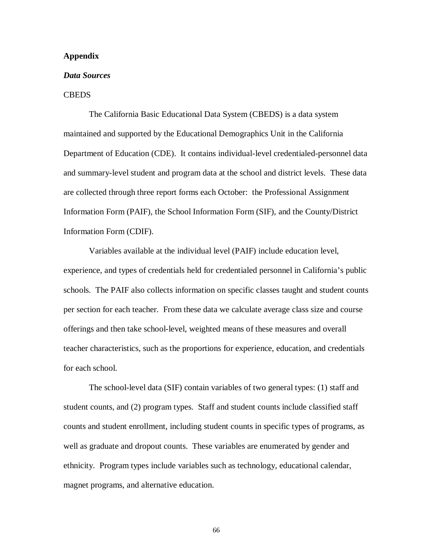#### **Appendix**

#### *Data Sources*

#### CBEDS

The California Basic Educational Data System (CBEDS) is a data system maintained and supported by the Educational Demographics Unit in the California Department of Education (CDE). It contains individual-level credentialed-personnel data and summary-level student and program data at the school and district levels. These data are collected through three report forms each October: the Professional Assignment Information Form (PAIF), the School Information Form (SIF), and the County/District Information Form (CDIF).

Variables available at the individual level (PAIF) include education level, experience, and types of credentials held for credentialed personnel in California's public schools. The PAIF also collects information on specific classes taught and student counts per section for each teacher. From these data we calculate average class size and course offerings and then take school-level, weighted means of these measures and overall teacher characteristics, such as the proportions for experience, education, and credentials for each school.

The school-level data (SIF) contain variables of two general types: (1) staff and student counts, and (2) program types. Staff and student counts include classified staff counts and student enrollment, including student counts in specific types of programs, as well as graduate and dropout counts. These variables are enumerated by gender and ethnicity. Program types include variables such as technology, educational calendar, magnet programs, and alternative education.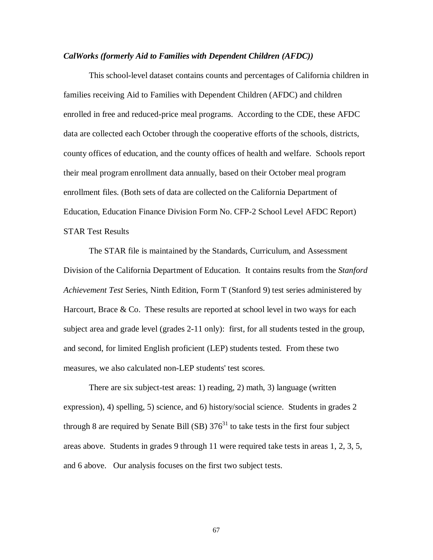#### *CalWorks (formerly Aid to Families with Dependent Children (AFDC))*

This school-level dataset contains counts and percentages of California children in families receiving Aid to Families with Dependent Children (AFDC) and children enrolled in free and reduced-price meal programs. According to the CDE, these AFDC data are collected each October through the cooperative efforts of the schools, districts, county offices of education, and the county offices of health and welfare. Schools report their meal program enrollment data annually, based on their October meal program enrollment files. (Both sets of data are collected on the California Department of Education, Education Finance Division Form No. CFP-2 School Level AFDC Report) STAR Test Results

The STAR file is maintained by the Standards, Curriculum, and Assessment Division of the California Department of Education. It contains results from the *Stanford Achievement Test* Series, Ninth Edition, Form T (Stanford 9) test series administered by Harcourt, Brace & Co. These results are reported at school level in two ways for each subject area and grade level (grades 2-11 only): first, for all students tested in the group, and second, for limited English proficient (LEP) students tested. From these two measures, we also calculated non-LEP students' test scores.

There are six subject-test areas: 1) reading, 2) math, 3) language (written expression), 4) spelling, 5) science, and 6) history/social science. Students in grades 2 through 8 are required by Senate Bill (SB)  $376<sup>31</sup>$  to take tests in the first four subject areas above. Students in grades 9 through 11 were required take tests in areas 1, 2, 3, 5, and 6 above. Our analysis focuses on the first two subject tests.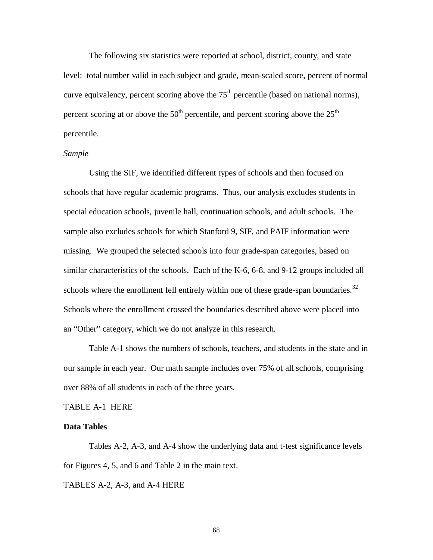The following six statistics were reported at school, district, county, and state level: total number valid in each subject and grade, mean-scaled score, percent of normal curve equivalency, percent scoring above the  $75<sup>th</sup>$  percentile (based on national norms), percent scoring at or above the  $50<sup>th</sup>$  percentile, and percent scoring above the  $25<sup>th</sup>$ percentile.

#### *Sample*

Using the SIF, we identified different types of schools and then focused on schools that have regular academic programs. Thus, our analysis excludes students in special education schools, juvenile hall, continuation schools, and adult schools. The sample also excludes schools for which Stanford 9, SIF, and PAIF information were missing. We grouped the selected schools into four grade-span categories, based on similar characteristics of the schools. Each of the K-6, 6-8, and 9-12 groups included all schools where the enrollment fell entirely within one of these grade-span boundaries.<sup>32</sup> Schools where the enrollment crossed the boundaries described above were placed into an "Other" category, which we do not analyze in this research.

Table A-1 shows the numbers of schools, teachers, and students in the state and in our sample in each year. Our math sample includes over 75% of all schools, comprising over 88% of all students in each of the three years.

#### TABLE A-1 HERE

#### **Data Tables**

Tables A-2, A-3, and A-4 show the underlying data and t-test significance levels for Figures 4, 5, and 6 and Table 2 in the main text.

TABLES A-2, A-3, and A-4 HERE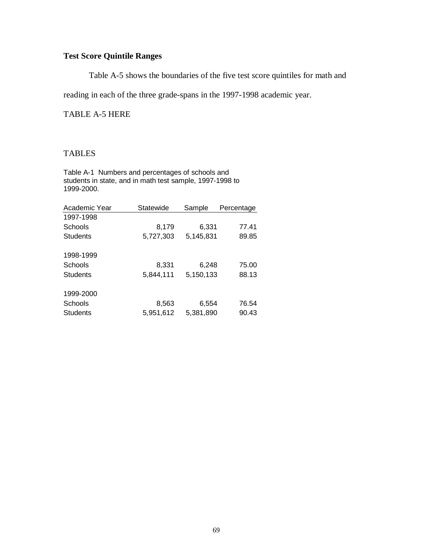# **Test Score Quintile Ranges**

Table A-5 shows the boundaries of the five test score quintiles for math and

reading in each of the three grade-spans in the 1997-1998 academic year.

TABLE A-5 HERE

## TABLES

Table A-1 Numbers and percentages of schools and students in state, and in math test sample, 1997-1998 to 1999-2000.

| Academic Year   | Statewide | Sample    | Percentage |
|-----------------|-----------|-----------|------------|
| 1997-1998       |           |           |            |
| Schools         | 8,179     | 6,331     | 77.41      |
| Students        | 5,727,303 | 5.145.831 | 89.85      |
| 1998-1999       |           |           |            |
| Schools         | 8,331     | 6,248     | 75.00      |
| <b>Students</b> | 5,844,111 | 5,150,133 | 88.13      |
| 1999-2000       |           |           |            |
| Schools         | 8,563     | 6,554     | 76.54      |
| <b>Students</b> | 5,951,612 | 5,381,890 | 90.43      |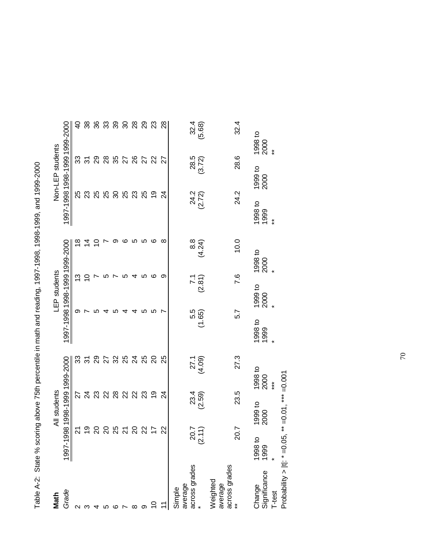| i                                                                                                           |  |
|-------------------------------------------------------------------------------------------------------------|--|
| $\frac{1}{2}$                                                                                               |  |
| りりん りりん りりん けりり<br>$\ddot{\phantom{a}}$                                                                     |  |
| ;<br>?                                                                                                      |  |
| ֖֖֖֖֖֖֖֖֧֪ׅ֪֪ׅ֖֧֪֪ׅ֖֚֚֚֚֚֚֚֚֚֚֚֚֚֚֚֚֚֬֝֝֝֝֝֝֝                                                               |  |
|                                                                                                             |  |
|                                                                                                             |  |
|                                                                                                             |  |
|                                                                                                             |  |
|                                                                                                             |  |
| $\frac{1}{2}$                                                                                               |  |
| $\overline{a}$                                                                                              |  |
| $\vdots$                                                                                                    |  |
|                                                                                                             |  |
|                                                                                                             |  |
|                                                                                                             |  |
|                                                                                                             |  |
|                                                                                                             |  |
| í<br>֧֧֧֧ׅ֧ׅ֧ׅ֧ׅ֧ׅ֧ׅ֧ׅ֧ׅ֧ׅ֧ׅ֧ׅ֧ׅ֧ׅ֧֧֧ׅ֧ׅ֧ׅ֧֧֚֚֚֚֚֚֚֚֚֚֚֚֚֚֚֚֚֚֚֚֚֚֚֝֝֝֜֜֜֜֜֜֜֜֜֜֜֜֝֬֝֬֜֜֝֬<br>$\frac{1}{2}$ |  |
|                                                                                                             |  |

|                                                                                      |                  |                    | Table A-2: State % scoring above 75th percentile in math and reading, 1997-1998-1998-1999, and 1999-2000 |                 |                 |                               |                           |                  |                               |
|--------------------------------------------------------------------------------------|------------------|--------------------|----------------------------------------------------------------------------------------------------------|-----------------|-----------------|-------------------------------|---------------------------|------------------|-------------------------------|
| Grade<br>Math                                                                        | 98<br>1997-19    | All students       | 1998-1999 1999-2000                                                                                      |                 | LEP students    | 1997-1998 1998-1999 1999-2000 |                           | Non-LEP students | 1997-1998 1998-1999 1999-2000 |
|                                                                                      | $\overline{2}$   |                    | ౢ<br>27                                                                                                  | တ               |                 | ്                             | 25                        |                  | 9<br>ౘ                        |
|                                                                                      | ი<br>1           |                    | స్<br>$\overline{2}$                                                                                     |                 |                 | ⋣                             | 23                        | స్               | 38                            |
|                                                                                      | 20               |                    | 88<br>23                                                                                                 | ഥ               |                 | S                             | 25                        |                  | 36<br>29                      |
|                                                                                      | ସ                |                    | $\mathbf{z}$                                                                                             |                 |                 |                               | 25                        |                  | 33<br>28                      |
|                                                                                      | 25               |                    | <b>ដនន</b> ង<br>28                                                                                       | 5               |                 | တ                             | 30                        |                  | 39<br>35                      |
|                                                                                      | $\overline{2}$   |                    | 22                                                                                                       |                 |                 | ဖ<br>ഥ                        | 25                        |                  | 30<br>27                      |
| ∞                                                                                    | $\overline{c}$   |                    | 22                                                                                                       |                 |                 | LO.<br>4                      | 23                        |                  | 28<br>26                      |
|                                                                                      | $\approx$        |                    | 25<br>23                                                                                                 | ഹ               |                 | ပ<br>ഥ                        | 25                        |                  | 29<br>27                      |
|                                                                                      | $\ddot{ }$       |                    | $\Omega$<br>ი<br>1                                                                                       | ທ               |                 | ဖ<br>ဖ                        | $\overline{0}$            |                  | 23<br>22                      |
|                                                                                      | 22               |                    | ని<br>$\overline{c}$                                                                                     |                 |                 | ∞<br>တ                        | $\overline{2}$            |                  | 28<br>27                      |
| across grades<br>average<br>Simple                                                   | $20.7$<br>(2.11) | $23.4$<br>$(2.59)$ | 27.1<br>(4.09)                                                                                           | 5.5<br>7.65)    | (2.81)          | 8.8<br>(4.24)                 | 24.2<br>(2.72)            | 28.5<br>(3.72)   | 32.4<br>(5.68)                |
| across grades<br>Weighted<br>average                                                 | 20.7             | 23.5               | 27.3                                                                                                     | 5.7             | 7.6             | 10.0                          | 24.2                      | 28.6             | 32.4                          |
| Probability >  t : * =0.05, ** =0.01, *** =0.001<br>Significance<br>Change<br>T-test | 1998 to<br>1999  | 1999 to<br>2000    | 1998 to<br>2000<br>$***$                                                                                 | 1998 to<br>1999 | 1999 to<br>2000 | 1998 to<br>2000               | 1998 to<br>1999<br>$\ast$ | 1999 to<br>2000  | 1998 to<br>2000<br>$\ast$     |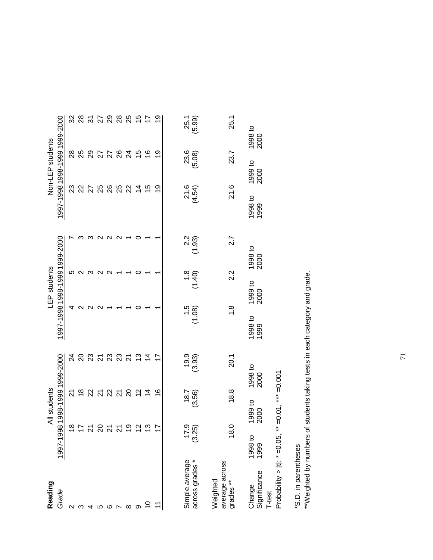| Reading                                                             |                 | All students                                   |                                |                   | LEP students      |                               |                  | Non-LEP students              |                |                 |
|---------------------------------------------------------------------|-----------------|------------------------------------------------|--------------------------------|-------------------|-------------------|-------------------------------|------------------|-------------------------------|----------------|-----------------|
| Grade                                                               |                 |                                                | 1997-1998 1998-1999 1999-2000  |                   |                   | 1997-1998 1998-1999 1999-2000 |                  | 1997-1998 1998-1999 1999-2000 |                |                 |
| ∾                                                                   | $\frac{8}{1}$   |                                                | र्य<br><u>প</u>                | 4                 | ៲ດ                |                               | ಔ                |                               | 28             | ೫               |
|                                                                     |                 |                                                | $\frac{8}{1}$                  | $\mathsf{\alpha}$ | $\mathsf{\alpha}$ |                               | ଧ                |                               | 25             | $^{28}$         |
|                                                                     | $\approx 25$    |                                                | <u>នន ដន្លន</u><br>22          |                   | ო                 | ო                             | 27               |                               |                | 31              |
|                                                                     |                 |                                                | $\overline{2}$                 |                   | N                 | $\sim$                        | 25               |                               | 25<br>27       | 27              |
|                                                                     | <u> ភ</u> ភ     |                                                | 22                             |                   | ᡕ                 | $\mathbf{\Omega}$             | 88               |                               |                | 29              |
|                                                                     |                 |                                                | $\overline{2}$                 |                   |                   | $\mathbf{\sim}$               | ಜ                |                               | 26             | 28              |
| ∞                                                                   | $\frac{6}{5}$   |                                                | $\overline{2}$<br>$\Omega$     |                   |                   |                               | ଧ୍ୟ              |                               | $\overline{2}$ | 25              |
|                                                                     | $\frac{2}{3}$   |                                                | $\frac{3}{2}$<br>$\frac{2}{3}$ |                   |                   | 0                             |                  |                               | $\frac{5}{2}$  | 15              |
| S                                                                   | $\frac{3}{2}$   |                                                | 4<br>$\overline{4}$            |                   |                   |                               | 15               |                               | $\frac{6}{5}$  | $\overline{1}$  |
|                                                                     | $\overline{17}$ |                                                | $\frac{6}{1}$                  |                   |                   |                               | စ္               |                               | ღ<br>1         | <u>ღ</u>        |
| Simple average<br>across grades *                                   | (3.25)          | 18.7<br>(3.56)                                 | (3.93)                         | (1.08)            | (1.40)            | $2.2$<br>(1.93)               | $21.6$<br>(4.54) | (5.08)                        | 23.6           | 25.1<br>(5.99)  |
| average across<br>grades **<br>Weighted                             | 18.0            | 18.8                                           | 20.1                           | $\frac{8}{1}$     | 2.2               | 2.7                           | 21.6             |                               | 23.7           | 25.1            |
| Probability > $ t $ : * = 0.05,<br>Significance<br>T-test<br>Change | 1998 to<br>1999 | ** = $0.01$ , *** = $0.001$<br>1999 to<br>2000 | 1998 to<br>2000                | 1998 to<br>1999   | 1999 to<br>2000   | 1998 to<br>2000               | 1998 to<br>1999  | 1999 to<br>2000               |                | 1998 to<br>2000 |

\*S.D. in parentheses

\*S.D. in parentheses<br>\*\*Weighted by numbers of students taking tests in each category and grade. \*\*Weighted by numbers of students taking tests in each category and grade.

71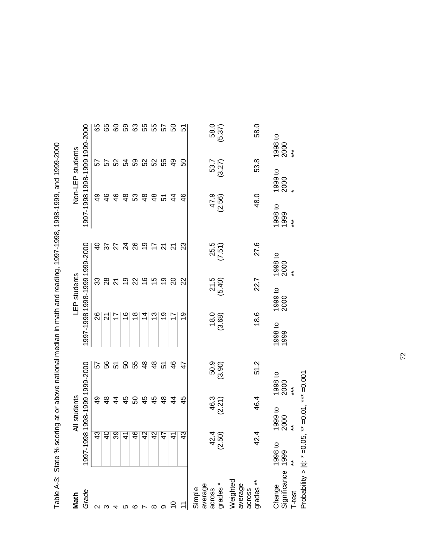| Math                                    |                  | All students              |                                |                                                     | LEP students       |                                  |                          | Non-LEP students |                               |
|-----------------------------------------|------------------|---------------------------|--------------------------------|-----------------------------------------------------|--------------------|----------------------------------|--------------------------|------------------|-------------------------------|
| Grade                                   | 1997-199         |                           | 81998-19991999-2000            |                                                     |                    | 1997-1998 1998-1999 1999-2000    |                          |                  | 1997-1998 1998-1999 1999-2000 |
|                                         |                  | က္                        | 52<br>$\overline{6}$           | 26                                                  | 33                 | ទ<br>+                           |                          | QÞ               | 89<br>57                      |
|                                         | $\overline{Q}$   |                           | 56<br>$\frac{8}{3}$            | 21                                                  |                    | 57                               | 46                       |                  | 89                            |
|                                         |                  | ୭                         | 51<br>4                        | 17                                                  | $\frac{8}{21}$     |                                  | $\frac{6}{5}$            |                  | 8<br>5238                     |
|                                         |                  | $\overline{ }$            | SO<br>45                       | $\frac{6}{5}$                                       | $\overline{5}$     |                                  | $\frac{8}{4}$            |                  | 59                            |
|                                         |                  | $\overline{\mathcal{Q}}$  | 55<br>SO                       | $\frac{8}{1}$                                       | R                  |                                  | 53                       |                  | යි                            |
|                                         |                  | $\overline{\mathbf{r}}$   | $\frac{8}{4}$<br>45            | 4                                                   | $\frac{6}{5}$      | 22897                            | $\frac{8}{3}$            |                  | 55<br>52                      |
| ∞                                       |                  | $\overline{a}$            | $\frac{8}{3}$<br>45            | చ                                                   | $\frac{5}{3}$      |                                  | $\frac{8}{3}$            |                  | 55<br>52                      |
|                                         |                  | $\frac{1}{4}$             | 51<br>$\frac{8}{3}$            | စ္                                                  | <b>0</b>           | $\overline{z}$                   | 51                       |                  | 57<br>55                      |
|                                         |                  | ۳                         | $\frac{6}{5}$<br>$\frac{4}{3}$ | 17                                                  | 20                 | $\overline{z}$                   | $\frac{4}{3}$            |                  | င္ဟ<br>$\overline{4}$         |
|                                         |                  | က္                        | 47<br>45                       | 6Ļ                                                  | $\Omega$           | ನಿ                               |                          | $\frac{6}{4}$    | 5<br>ნ0                       |
| average<br>across<br>grades*<br>Simple  | $42.4$<br>(2.50) | 46.3<br>(2.21)            | 50.9<br>(3.90)                 | $\begin{array}{c} 18.0 \\ 18.0 \\ 0.68 \end{array}$ | $21.5$<br>$(5.40)$ | (7.51)                           | 47.9<br>(2.56)           | 53.7<br>(3.27)   | 58.0<br>(5.37)                |
| Weighted<br>average                     |                  |                           |                                |                                                     |                    |                                  |                          |                  |                               |
| across<br>grades **                     | 42.              | 46.4<br>4                 | 51.2                           | 18.6                                                | 22.7               | 27.6                             | 48.0                     | 53.8             | 58.0                          |
| Change<br>Significance<br><b>T-test</b> | 1998 to<br>1999  | 1999 to<br>2000<br>$\ast$ | 1998 to<br>2000<br>$***$       | 1998 to<br>1999                                     | 1999 to<br>2000    | 1998 to<br>2000<br>$\ddot{\ast}$ | 1998 to<br>1999<br>$***$ | 1999 to<br>2000  | 1998 to<br>2000<br>$***$      |
| Probability > $ t $ : * =0.05,          |                  | $**$ =0.01, *** =0.001    |                                |                                                     |                    |                                  |                          |                  |                               |

Table A-3: State % scoring at or above national median in math and reading, 1997-1998, 1998-1999, and 1999-2000 Table A-3: State % scoring at or above national median in math and reading, 1997-1998, 1998-1999, and 1999-2000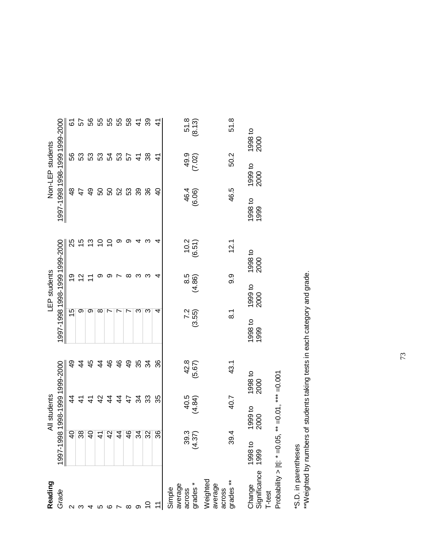| Reading                            |                              | All students              |                     |                          | LEP students    |                 |                               | Non-LEP students |                 |
|------------------------------------|------------------------------|---------------------------|---------------------|--------------------------|-----------------|-----------------|-------------------------------|------------------|-----------------|
| Grade                              | 1997-1998                    |                           | 1998-1999 1999-2000 | 00007-00019001-8001-2001 |                 |                 | 1997-1998 1998-1999 1999-2000 |                  |                 |
|                                    |                              | 4                         | ე<br>4              | 15                       | <u>ဇ</u>        | న్              | ₽€                            | 99               | 61              |
|                                    | $\frac{1}{38}$               | $\frac{4}{1}$             | 4                   | တ                        | $\overline{c}$  | 15              | 47                            | යි<br>           | 57              |
|                                    | $\overline{q}$               | $\frac{1}{2}$             | 45                  | တ                        |                 | 13              | $\overline{4}$                |                  | 99              |
|                                    | $\left  \frac{4}{5} \right $ |                           | $\frac{4}{4}$       | ∞                        | တ               | S               | 50                            |                  | 55              |
|                                    | $\overline{4}$               |                           | 46<br>44            | Ľ                        | တ               | S               | SO                            |                  | 55              |
|                                    | $\overline{4}$               | $\frac{4}{4}$             | 46                  | Ľ                        |                 | တ               | 52                            | 3333             | 55              |
|                                    | $\overline{4}$               | $\ddot{4}$                | $\overline{4}$      | Ľ                        | ∞               | တ               | 53                            | 57               | $58\,$          |
|                                    | $\frac{4}{3}$                | $\mathfrak{L}$            | 35                  | ო                        | ო               | 4               | 39                            | $\frac{4}{5}$    | $\frac{4}{5}$   |
|                                    | $\overline{32}$              |                           | 34<br>33            | ო                        | ო               | က               | 36                            | 38               | 39              |
|                                    | 36                           | 35                        | 36                  | 4                        | 4               | 4               | $\overline{a}$                | $\frac{4}{3}$    | $\frac{4}{5}$   |
| average<br>across<br>Simple        |                              | 40.5                      | 42.8                |                          |                 |                 | 46.4                          | 49.9             | 51.8            |
| grades*                            | 39.3<br>(4.37)               | (4.84)                    | (5.67)              | 72<br>9.55)              | (4.86)          | (6.51)          | (6.06)                        | (7.02)           | (8.13)          |
| Weighted<br>average<br>across      |                              |                           |                     |                          |                 |                 |                               |                  |                 |
| grades <sup>**</sup>               | 39.4                         | 40.7                      | 43.1                | $\overline{8}$ .         | 9.9             | 12.1            | 46.5                          | 50.2             | 51.8            |
| Significance<br>Change<br>T-test   | 1998 to<br>1999              | 1999 to<br>2000           | 1998 to<br>2000     | 1998 to<br>1999          | 1999 to<br>2000 | 1998 to<br>2000 | 1998 to<br>1999               | 1999 to<br>2000  | 1998 to<br>2000 |
| Probability > $ t $ : $* = 0.05$ , |                              | ** $=0.01$ , *** $=0.001$ |                     |                          |                 |                 |                               |                  |                 |

\*S.D. in parentheses

\*S.D. in parentheses<br>\*\*Weighted by numbers of students taking tests in each category and grade. \*\*Weighted by numbers of students taking tests in each category and grade.

73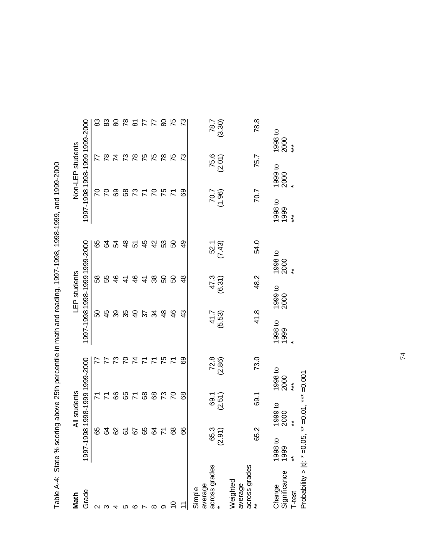| Math                                 |                                            | All students           |                               |                               | LEP students              |                 |                          | Non-LEP students |                          |
|--------------------------------------|--------------------------------------------|------------------------|-------------------------------|-------------------------------|---------------------------|-----------------|--------------------------|------------------|--------------------------|
| Grade                                |                                            |                        | 1997-1998 1998-1999 1999-2000 | 1997-1998 1998-1999 1999-2000 |                           |                 |                          |                  | 1997-1998 1998-1999 2000 |
|                                      | 65                                         | Σ                      |                               | 50                            | 58                        | 89              | 54                       |                  | 83<br>77                 |
|                                      |                                            | $\overline{r}$         |                               | 45                            | 55                        | 2               | S                        |                  | 83<br>$\approx$          |
|                                      |                                            |                        | 89                            | 39                            | $\frac{6}{5}$             | R.              |                          |                  | 74                       |
|                                      |                                            |                        |                               | 35                            | $\frac{4}{3}$             |                 |                          |                  | 825<br>73                |
|                                      |                                            |                        | <b>29</b>                     | $\overline{a}$                | $\frac{6}{4}$             | <del>ឌ</del> 5  |                          |                  | $\frac{8}{1}$            |
|                                      |                                            | 89                     |                               | $\approx$                     | $\mathcal{A}$             | 45              |                          |                  | 75                       |
|                                      | 235552                                     | 68                     | スタススカスムス                      | ž                             | 38                        | $\frac{2}{3}$   | 382728                   |                  | 28574<br>75              |
|                                      | $\overline{7}$                             | 73                     |                               | $\frac{8}{3}$                 | SO                        | S3              |                          |                  | 78                       |
|                                      | 68                                         |                        | $\mathcal{L}$                 | $\frac{6}{5}$                 | 50                        | 8               | $\overline{K}$           |                  | 75                       |
|                                      | 89                                         |                        | 89<br>8                       | $\frac{3}{4}$                 | $\frac{8}{4}$             | අ               | 89                       |                  | 73<br>೧                  |
| across grades<br>average<br>Simple   |                                            |                        |                               | 41.7                          |                           |                 |                          |                  | 787                      |
|                                      | 65.3<br>(2.91)                             | 69.1<br>(2.51)         | $72.8$<br>$(2.86)$            | (5.53)                        | (6.31)                    | 52.1<br>(7.43)  | $\frac{1000}{200}$       | $75.6$<br>(2.01) | (3.30)                   |
| across grades<br>Weighted<br>average |                                            |                        |                               |                               |                           |                 |                          |                  |                          |
|                                      | 65.2                                       | 69.1                   | 73.0                          | 41.8                          | 48.2                      | 54.0            | 70.7                     | 75.7             | 78.8                     |
| Change<br>Significance<br>T-test     | $\ast$<br>1998 to<br>1999<br>$\ddot{\ast}$ | 1999 to<br>2000        | 1998 to<br>2000<br>$**$       | 1998 to<br>1999               | $\ast$<br>1999 to<br>2000 | 1998 to<br>2000 | 1998 to<br>1999<br>$***$ | 1999 to<br>2000  | 1998 to<br>2000<br>$***$ |
| Probability > $ t $ : $* = 0.05$ ,   |                                            | $**$ =0.01, *** =0.001 |                               |                               |                           |                 |                          |                  |                          |

Table A-4: State % scoring above 25th percentile in math and reading, 1997-1998, 1998-1999, and 1999-2000 Table A-4: State % scoring above 25th percentile in math and reading, 1997-1998, 1998-1999, and 1999-2000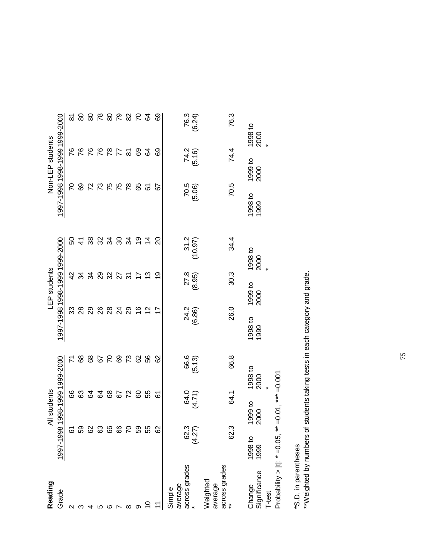| Reading                                    |                                                                        | All students     |                     |                               | LEP students       |                  |                  | Non-LEP students |                               |
|--------------------------------------------|------------------------------------------------------------------------|------------------|---------------------|-------------------------------|--------------------|------------------|------------------|------------------|-------------------------------|
| Grade                                      | 1997-1998                                                              |                  | 1998-1999 1999-2000 | 1997-1998 1998-1999 1999-2000 |                    |                  |                  |                  | 1997-1998 1998-1999 1999-2000 |
| ∾                                          | ত<br>ত                                                                 | 66               |                     | ೫                             | $\frac{2}{3}$      | ន                | 2                | 87               | ౚ                             |
|                                            |                                                                        | 63               | 89                  | 28                            | રૂ                 | $\mathcal{A}$    | 69               | 76               | 80                            |
|                                            |                                                                        |                  | 68                  | 29                            | 34                 |                  |                  |                  | 8                             |
|                                            | <b>8888</b>                                                            | 2285             | 67                  | 26                            | 29                 | 33 34<br>39 34   | 22562            | 7887             | $\frac{8}{1}$                 |
| ဖ                                          |                                                                        |                  | $\overline{C}$      | 28                            | 32                 |                  |                  |                  | 80                            |
|                                            | 89                                                                     |                  | 69                  | $\overline{24}$               | 27                 | $\boldsymbol{S}$ |                  |                  | 79                            |
| ∞                                          | $\mathcal{L}$                                                          | 72               | 73                  | 29                            | 75                 | 34               | 78               | ৯                | $82$                          |
|                                            | င္ပိ                                                                   | 8                | 82                  | $\frac{6}{5}$                 | 17                 | <u>61</u>        | 65               | 69               | $\overline{C}$                |
|                                            | 55                                                                     | 55               | 99                  | $\frac{2}{3}$                 | ဗု                 | $\overline{4}$   | 67               | 54               | $\mathcal{Q}$                 |
|                                            | 8                                                                      | <u>৯</u>         | 82                  | 7                             | စ္                 | ຊ                | 55               | ගි               | ගි                            |
| across grades<br>average<br>Simple         | 62.3<br>(4.27)                                                         | 64.71)<br>(4.71) | 66.6<br>(5.13)      | 24.2<br>(6.86)                | $27.8$<br>$(8.95)$ | 31.2<br>(10.97)  | $70.5$<br>(5.06) | 74.2<br>(5.16)   | 76.3<br>(6.24)                |
| across grades<br>**<br>Weighted<br>average | 62.3                                                                   | 64.1             | 66.8                | 26.0                          | 30.3               | 34.4             | 70.5             | 74.4             | 76.3                          |
| Significance<br>Change<br>T-test           | Probability >  t : * = 0.05, ** = 0.01, *** = 0.001<br>1998 to<br>1999 | 1999 to<br>2000  | 1998 to<br>2000     | 1998 to<br>1999               | 1999 to<br>2000    | 1998 to<br>2000  | 1998 to<br>1999  | 1999 to<br>2000  | 1998 to<br>2000               |

\*S.D. in parentheses

\*S.D. in parentheses<br>\*\*Weighted by numbers of students taking tests in each category and grade. \*\*Weighted by numbers of students taking tests in each category and grade.

75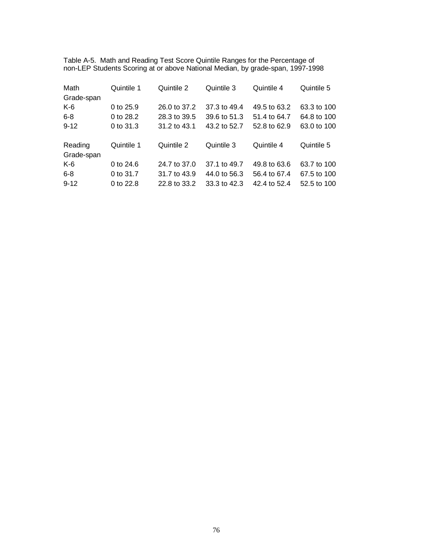Table A-5. Math and Reading Test Score Quintile Ranges for the Percentage of non-LEP Students Scoring at or above National Median, by grade-span, 1997-1998

| Math                  | Quintile 1  | Quintile 2   | Quintile 3   | Quintile 4   | Quintile 5  |
|-----------------------|-------------|--------------|--------------|--------------|-------------|
| Grade-span            |             |              |              |              |             |
| K-6                   | 0 to 25.9   | 26.0 to 37.2 | 37.3 to 49.4 | 49.5 to 63.2 | 63.3 to 100 |
| $6 - 8$               | 0 to 28.2   | 28.3 to 39.5 | 39.6 to 51.3 | 51.4 to 64.7 | 64.8 to 100 |
| $9 - 12$              | 0 to 31.3   | 31.2 to 43.1 | 43.2 to 52.7 | 52.8 to 62.9 | 63.0 to 100 |
| Reading<br>Grade-span | Quintile 1  | Quintile 2   | Quintile 3   | Quintile 4   | Quintile 5  |
| K-6                   | 0 to $24.6$ | 24.7 to 37.0 | 37.1 to 49.7 | 49.8 to 63.6 | 63.7 to 100 |
| $6 - 8$               | 0 to 31.7   | 31.7 to 43.9 | 44.0 to 56.3 | 56.4 to 67.4 | 67.5 to 100 |
| $9 - 12$              | 0 to 22.8   | 22.8 to 33.2 | 33.3 to 42.3 | 42.4 to 52.4 | 52.5 to 100 |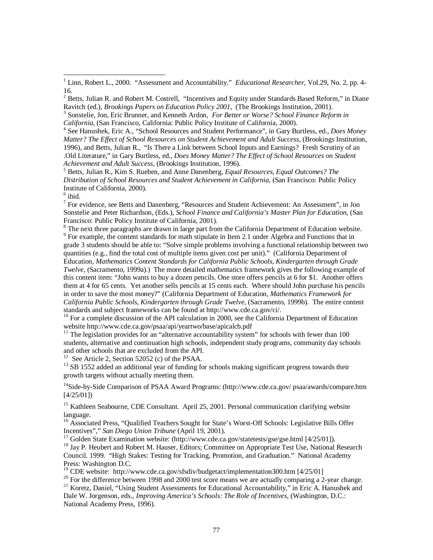Ravitch (ed.), *Brookings Papers on Education Policy 2001*, (The Brookings Institution, 2001).<br><sup>3</sup> Sonstelie, Jon, Eric Brunner, and Kenneth Ardon, *For Better or Worse? School Finance Reform in*<br>*California*, (San Francis

<sup>5</sup> Betts, Julian R., Kim S. Rueben, and Anne Danenberg, *Equal Resources, Equal Outcomes? The Distribution of School Resources and Student Achievement in California,* (San Francisco: Public Policy Institute of California, 2000).

 $<sup>6</sup>$  ibid.</sup>

<sup>7</sup> For evidence, see Betts and Danenberg, "Resources and Student Achievement: An Assessment", in Jon Sonstelie and Peter Richardson, (Eds.), *School Finance and California's Master Plan for Education*, (San Francisco: Public Policy Institute of California, 2001).

<sup>8</sup> The next three paragraphs are drawn in large part from the California Department of Education website. <sup>9</sup> For example, the content standards for math stipulate in Item 2.1 under Algebra and Functions that in grade 3 students should be able to: "Solve simple problems involving a functional relationship between two quantities (e.g., find the total cost of multiple items given cost per unit)." (California Department of Education, *Mathematics Content Standards for California Public Schools, Kindergarten through Grade Twelve*, (Sacramento, 1999a).) The more detailed mathematics framework gives the following example of this content item: "John wants to buy a dozen pencils. One store offers pencils at 6 for \$1. Another offers them at 4 for 65 cents. Yet another sells pencils at 15 cents each. Where should John purchase his pencils in order to save the most money?" (California Department of Education, *Mathematics Framework for California Public Schools, Kindergarten through Grade Twelve*, (Sacramento, 1999b). The entire content standards and subject frameworks can be found at http://www.cde.ca.gov/ci/.

<sup>10</sup> For a complete discussion of the API calculation in 2000, see the California Department of Education website http://www.cde.ca.gov/psaa/api/yeartwo/base/apicalcb.pdf

<sup>11</sup> The legislation provides for an "alternative accountability system" for schools with fewer than 100 students, alternative and continuation high schools, independent study programs, community day schools and other schools that are excluded from the API.<br><sup>12</sup> See Article 2, Section 52052 (c) of the PSAA.

 $^{13}$  SB 1552 added an additional year of funding for schools making significant progress towards their growth targets without actually meeting them.

<sup>14</sup>Side-by-Side Comparison of PSAA Award Programs: (http://www.cde.ca.gov/ psaa/awards/compare.htm [4/25/01])

<sup>15</sup> Kathleen Seabourne, CDE Consultant. April 25, 2001. Personal communication clarifying website language.

<sup>16</sup> Associated Press, "Qualified Teachers Sought for State's Worst-Off Schools: Legislative Bills Offer Incentives"," San Diego Union Tribune (April 19, 2001).

<sup>17</sup> Golden State Examination website: (http://www.cde.ca.gov/statetests/gse/gse.html [4/25/01]).<br><sup>18</sup> Jay P. Heubert and Robert M. Hauser, Editors; Committee on Appropriate Test Use, National Research

Council. 1999. "High Stakes: Testing for Tracking, Promotion, and Graduation." National Academy Press: Washington D.C.<br><sup>19</sup> CDE website: http://www.cde.ca.gov/sfsdiv/budgetact/implementation300.htm [4/25/01]

<sup>20</sup> For the difference between 1998 and 2000 test score means we are actually comparing a 2-year change.<br><sup>21</sup> Koretz, Daniel, "Using Student Assessments for Educational Accountability," in Eric A. Hanushek and

Dale W. Jorgenson, eds., *Improving America's Schools: The Role of Incentives,* (Washington, D.C.:

National Academy Press, 1996).

<sup>&</sup>lt;sup>1</sup> Linn, Robert L., 2000. "Assessment and Accountability." *Educational Researcher*, Vol.29, No. 2, pp. 4-16.

<sup>&</sup>lt;sup>2</sup> Betts, Julian R. and Robert M. Costrell, "Incentives and Equity under Standards Based Reform," in Diane

<sup>&</sup>lt;sup>4</sup> See Hanushek, Eric A., "School Resources and Student Performance", in Gary Burtless, ed., *Does Money Matter? The Effect of School Resources on Student Achievement and Adult Success*, (Brookings Institution, 1996), and Betts, Julian R., "Is There a Link between School Inputs and Earnings? Fresh Scrutiny of an .Old Literature," in Gary Burtless, ed., *Does Money Matter? The Effect of School Resources on Student*